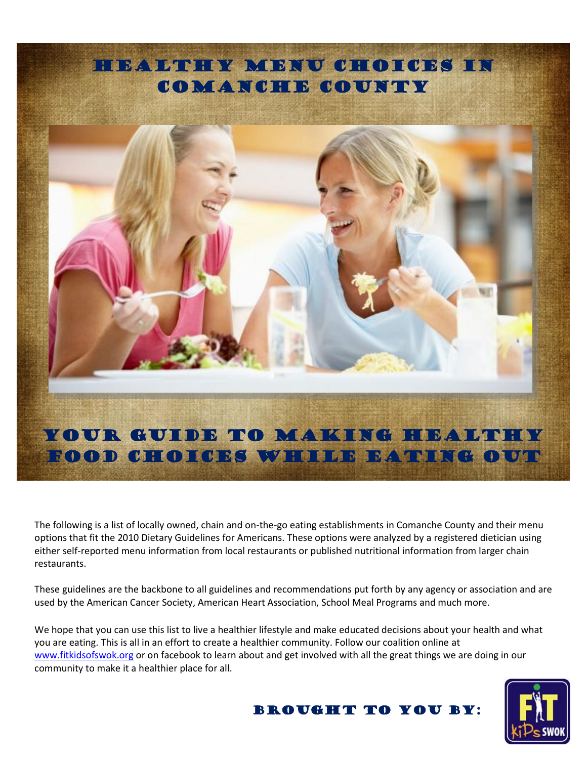

The following is a list of locally owned, chain and on-the-go eating establishments in Comanche County and their menu options that fit the 2010 Dietary Guidelines for Americans. These options were analyzed by a registered dietician using either self-reported menu information from local restaurants or published nutritional information from larger chain restaurants.

These guidelines are the backbone to all guidelines and recommendations put forth by any agency or association and are used by the American Cancer Society, American Heart Association, School Meal Programs and much more.

We hope that you can use this list to live a healthier lifestyle and make educated decisions about your health and what you are eating. This is all in an effort to create a healthier community. Follow our coalition online at [www.fitkidsofswok.org](http://www.fitkidsofswok.org/) or on facebook to learn about and get involved with all the great things we are doing in our community to make it a healthier place for all.



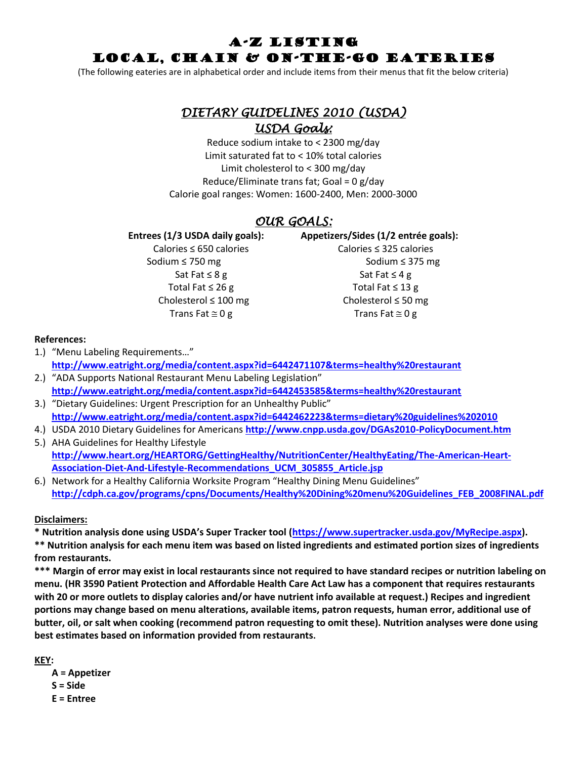## A-Z Listing LOCAL, Chain & On-The-Go EATERIES

(The following eateries are in alphabetical order and include items from their menus that fit the below criteria)

# *DIETARY GUIDELINES 2010 (USDA) USDA Goals:*

Reduce sodium intake to < 2300 mg/day Limit saturated fat to < 10% total calories Limit cholesterol to < 300 mg/day Reduce/Eliminate trans fat; Goal = 0 g/day Calorie goal ranges: Women: 1600-2400, Men: 2000-3000

## *OUR GOALS:*

Sodium ≤ 750 mg Sodium ≤ 375 mg  $Sat$  Fat  $\leq 8$  g Sat Fat  $\leq 4$  g Total Fat ≤ 26 g Total Fat ≤ 13 g Cholesterol ≤ 100 mg Cholesterol ≤ 50 mg Trans Fat  $\approx$  0 g Trans Fat  $\approx$  0 g

**Entrees (1/3 USDA daily goals): Appetizers/Sides (1/2 entrée goals):**

Calories ≤ 650 calories Calories ≤ 325 calories

## **References:**

- 1.) "Menu Labeling Requirements…" **<http://www.eatright.org/media/content.aspx?id=6442471107&terms=healthy%20restaurant>**
- 2.) "ADA Supports National Restaurant Menu Labeling Legislation" **<http://www.eatright.org/media/content.aspx?id=6442453585&terms=healthy%20restaurant>**
- 3.) "Dietary Guidelines: Urgent Prescription for an Unhealthy Public" **<http://www.eatright.org/media/content.aspx?id=6442462223&terms=dietary%20guidelines%202010>**
- 4.) USDA 2010 Dietary Guidelines for Americans **<http://www.cnpp.usda.gov/DGAs2010-PolicyDocument.htm>**
- 5.) AHA Guidelines for Healthy Lifestyle **[http://www.heart.org/HEARTORG/GettingHealthy/NutritionCenter/HealthyEating/The-American-Heart-](http://www.heart.org/HEARTORG/GettingHealthy/NutritionCenter/HealthyEating/The-American-Heart-Association-Diet-And-Lifestyle-Recommendations_UCM_305855_Article.jsp)[Association-Diet-And-Lifestyle-Recommendations\\_UCM\\_305855\\_Article.jsp](http://www.heart.org/HEARTORG/GettingHealthy/NutritionCenter/HealthyEating/The-American-Heart-Association-Diet-And-Lifestyle-Recommendations_UCM_305855_Article.jsp)**
- 6.) Network for a Healthy California Worksite Program "Healthy Dining Menu Guidelines" **[http://cdph.ca.gov/programs/cpns/Documents/Healthy%20Dining%20menu%20Guidelines\\_FEB\\_2008FINAL.pdf](http://cdph.ca.gov/programs/cpns/Documents/Healthy%20Dining%20menu%20Guidelines_FEB_2008FINAL.pdf)**

## **Disclaimers:**

**\* Nutrition analysis done using USDA's Super Tracker tool ([https://www.supertracker.usda.gov/MyRecipe.aspx\)](https://www.supertracker.usda.gov/MyRecipe.aspx).** 

**\*\* Nutrition analysis for each menu item was based on listed ingredients and estimated portion sizes of ingredients from restaurants.** 

**\*\*\* Margin of error may exist in local restaurants since not required to have standard recipes or nutrition labeling on menu. (HR 3590 Patient Protection and Affordable Health Care Act Law has a component that requires restaurants with 20 or more outlets to display calories and/or have nutrient info available at request.) Recipes and ingredient portions may change based on menu alterations, available items, patron requests, human error, additional use of butter, oil, or salt when cooking (recommend patron requesting to omit these). Nutrition analyses were done using best estimates based on information provided from restaurants.** 

**KEY:**

**A = Appetizer S = Side E = Entree**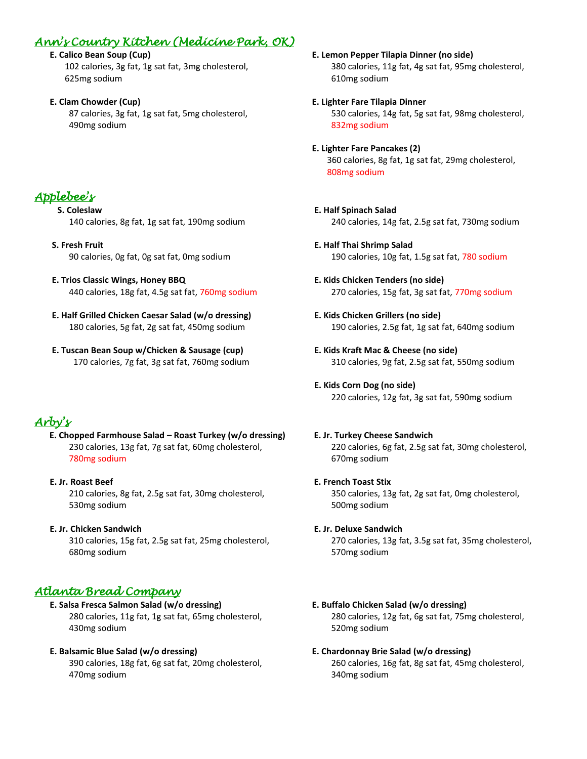## *Ann's Country Kitchen (Medicine Park, OK)*

 **E. Calico Bean Soup (Cup)** 102 calories, 3g fat, 1g sat fat, 3mg cholesterol, 625mg sodium

 **E. Clam Chowder (Cup)** 87 calories, 3g fat, 1g sat fat, 5mg cholesterol, 490mg sodium

# *Applebee's*

**S. Coleslaw** 140 calories, 8g fat, 1g sat fat, 190mg sodium

 **S. Fresh Fruit** 90 calories, 0g fat, 0g sat fat, 0mg sodium

- **E. Trios Classic Wings, Honey BBQ** 440 calories, 18g fat, 4.5g sat fat, 760mg sodium
- **E. Half Grilled Chicken Caesar Salad (w/o dressing)** 180 calories, 5g fat, 2g sat fat, 450mg sodium
- **E. Tuscan Bean Soup w/Chicken & Sausage (cup)** 170 calories, 7g fat, 3g sat fat, 760mg sodium

# *Arby's*

**E. Chopped Farmhouse Salad – Roast Turkey (w/o dressing)** 230 calories, 13g fat, 7g sat fat, 60mg cholesterol, 780mg sodium

### **E. Jr. Roast Beef** 210 calories, 8g fat, 2.5g sat fat, 30mg cholesterol, 530mg sodium

**E. Jr. Chicken Sandwich**

310 calories, 15g fat, 2.5g sat fat, 25mg cholesterol, 680mg sodium

## *Atlanta Bread Company*

 **E. Salsa Fresca Salmon Salad (w/o dressing)** 280 calories, 11g fat, 1g sat fat, 65mg cholesterol, 430mg sodium

## **E. Balsamic Blue Salad (w/o dressing)**

390 calories, 18g fat, 6g sat fat, 20mg cholesterol, 470mg sodium

 **E. Lemon Pepper Tilapia Dinner (no side)** 380 calories, 11g fat, 4g sat fat, 95mg cholesterol, 610mg sodium

- **E. Lighter Fare Tilapia Dinner** 530 calories, 14g fat, 5g sat fat, 98mg cholesterol, 832mg sodium
- **E. Lighter Fare Pancakes (2)** 360 calories, 8g fat, 1g sat fat, 29mg cholesterol, 808mg sodium
- **E. Half Spinach Salad** 240 calories, 14g fat, 2.5g sat fat, 730mg sodium
- **E. Half Thai Shrimp Salad** 190 calories, 10g fat, 1.5g sat fat, 780 sodium
- **E. Kids Chicken Tenders (no side)** 270 calories, 15g fat, 3g sat fat, 770mg sodium
- **E. Kids Chicken Grillers (no side)** 190 calories, 2.5g fat, 1g sat fat, 640mg sodium
- **E. Kids Kraft Mac & Cheese (no side)** 310 calories, 9g fat, 2.5g sat fat, 550mg sodium
- **E. Kids Corn Dog (no side)** 220 calories, 12g fat, 3g sat fat, 590mg sodium

## **E. Jr. Turkey Cheese Sandwich**

220 calories, 6g fat, 2.5g sat fat, 30mg cholesterol, 670mg sodium

**E. French Toast Stix**

350 calories, 13g fat, 2g sat fat, 0mg cholesterol, 500mg sodium

## **E. Jr. Deluxe Sandwich**

270 calories, 13g fat, 3.5g sat fat, 35mg cholesterol, 570mg sodium

## **E. Buffalo Chicken Salad (w/o dressing)**

280 calories, 12g fat, 6g sat fat, 75mg cholesterol, 520mg sodium

## **E. Chardonnay Brie Salad (w/o dressing)**

260 calories, 16g fat, 8g sat fat, 45mg cholesterol, 340mg sodium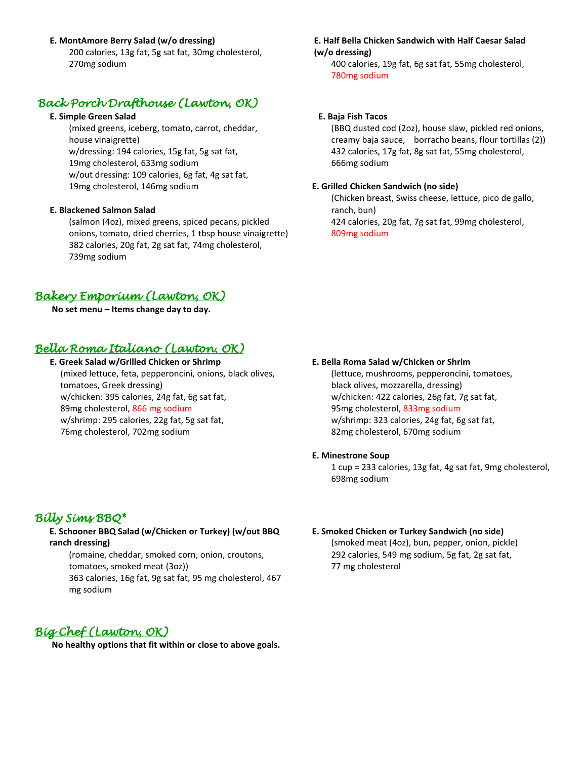### **E. MontAmore Berry Salad (w/o dressing)**

200 calories, 13g fat, 5g sat fat, 30mg cholesterol, 270mg sodium

## *Back Porch Drafthouse (Lawton, OK)*

#### **E. Simple Green Salad**

(mixed greens, iceberg, tomato, carrot, cheddar, house vinaigrette) w/dressing: 194 calories, 15g fat, 5g sat fat, 19mg cholesterol, 633mg sodium w/out dressing: 109 calories, 6g fat, 4g sat fat, 19mg cholesterol, 146mg sodium

### **E. Blackened Salmon Salad**

(salmon (4oz), mixed greens, spiced pecans, pickled onions, tomato, dried cherries, 1 tbsp house vinaigrette) 382 calories, 20g fat, 2g sat fat, 74mg cholesterol, 739mg sodium

## *Bakery Emporium (Lawton, OK)*

**No set menu – Items change day to day.**

## *Bella Roma Italiano (Lawton, OK)*

 **E. Greek Salad w/Grilled Chicken or Shrimp** (mixed lettuce, feta, pepperoncini, onions, black olives, tomatoes, Greek dressing) w/chicken: 395 calories, 24g fat, 6g sat fat, 89mg cholesterol, 866 mg sodium w/shrimp: 295 calories, 22g fat, 5g sat fat, 76mg cholesterol, 702mg sodium

#### **E. Half Bella Chicken Sandwich with Half Caesar Salad (w/o dressing)**

400 calories, 19g fat, 6g sat fat, 55mg cholesterol, 780mg sodium

#### **E. Baja Fish Tacos**

 (BBQ dusted cod (2oz), house slaw, pickled red onions, creamy baja sauce, borracho beans, flour tortillas (2)) 432 calories, 17g fat, 8g sat fat, 55mg cholesterol, 666mg sodium

#### **E. Grilled Chicken Sandwich (no side)**

(Chicken breast, Swiss cheese, lettuce, pico de gallo, ranch, bun) 424 calories, 20g fat, 7g sat fat, 99mg cholesterol, 809mg sodium

#### **E. Bella Roma Salad w/Chicken or Shrim**

(lettuce, mushrooms, pepperoncini, tomatoes, black olives, mozzarella, dressing) w/chicken: 422 calories, 26g fat, 7g sat fat, 95mg cholesterol, 833mg sodium w/shrimp: 323 calories, 24g fat, 6g sat fat, 82mg cholesterol, 670mg sodium

#### **E. Minestrone Soup**

1 cup = 233 calories, 13g fat, 4g sat fat, 9mg cholesterol, 698mg sodium

## *Billy Sims BBQ\**

**E. Schooner BBQ Salad (w/Chicken or Turkey) (w/out BBQ ranch dressing)**

(romaine, cheddar, smoked corn, onion, croutons, tomatoes, smoked meat (3oz)) 363 calories, 16g fat, 9g sat fat, 95 mg cholesterol, 467 mg sodium

## **E. Smoked Chicken or Turkey Sandwich (no side)**

(smoked meat (4oz), bun, pepper, onion, pickle) 292 calories, 549 mg sodium, 5g fat, 2g sat fat, 77 mg cholesterol

## *Big Chef (Lawton, OK)*

**No healthy options that fit within or close to above goals.**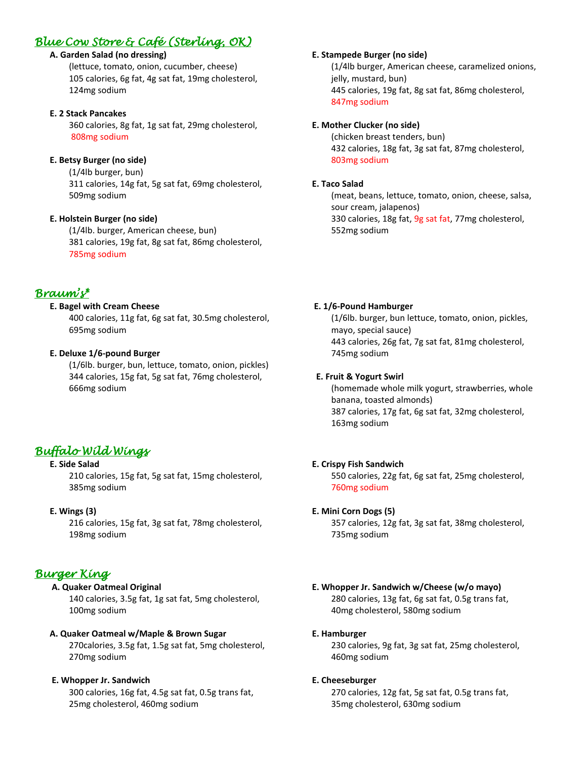## *Blue Cow Store & Café (Sterling, OK)*

## **A. Garden Salad (no dressing)**

(lettuce, tomato, onion, cucumber, cheese) 105 calories, 6g fat, 4g sat fat, 19mg cholesterol, 124mg sodium

### **E. 2 Stack Pancakes**

360 calories, 8g fat, 1g sat fat, 29mg cholesterol, 808mg sodium

## **E. Betsy Burger (no side)**

(1/4lb burger, bun) 311 calories, 14g fat, 5g sat fat, 69mg cholesterol, 509mg sodium

## **E. Holstein Burger (no side)**

(1/4lb. burger, American cheese, bun) 381 calories, 19g fat, 8g sat fat, 86mg cholesterol, 785mg sodium

## *Braum's\**

## **E. Bagel with Cream Cheese**

400 calories, 11g fat, 6g sat fat, 30.5mg cholesterol, 695mg sodium

## **E. Deluxe 1/6-pound Burger**

(1/6lb. burger, bun, lettuce, tomato, onion, pickles) 344 calories, 15g fat, 5g sat fat, 76mg cholesterol, 666mg sodium

## *Buffalo Wild Wings*

### **E. Side Salad**

210 calories, 15g fat, 5g sat fat, 15mg cholesterol, 385mg sodium

### **E. Wings (3)**

216 calories, 15g fat, 3g sat fat, 78mg cholesterol, 198mg sodium

## *Burger King*

## **A. Quaker Oatmeal Original**

140 calories, 3.5g fat, 1g sat fat, 5mg cholesterol, 100mg sodium

### **A. Quaker Oatmeal w/Maple & Brown Sugar**

270calories, 3.5g fat, 1.5g sat fat, 5mg cholesterol, 270mg sodium

## **E. Whopper Jr. Sandwich**

300 calories, 16g fat, 4.5g sat fat, 0.5g trans fat, 25mg cholesterol, 460mg sodium

### **E. Stampede Burger (no side)**

(1/4lb burger, American cheese, caramelized onions, jelly, mustard, bun) 445 calories, 19g fat, 8g sat fat, 86mg cholesterol, 847mg sodium

### **E. Mother Clucker (no side)**

(chicken breast tenders, bun) 432 calories, 18g fat, 3g sat fat, 87mg cholesterol, 803mg sodium

#### **E. Taco Salad**

(meat, beans, lettuce, tomato, onion, cheese, salsa, sour cream, jalapenos) 330 calories, 18g fat, 9g sat fat, 77mg cholesterol, 552mg sodium

#### **E. 1/6-Pound Hamburger**

(1/6lb. burger, bun lettuce, tomato, onion, pickles, mayo, special sauce) 443 calories, 26g fat, 7g sat fat, 81mg cholesterol, 745mg sodium

### **E. Fruit & Yogurt Swirl**

(homemade whole milk yogurt, strawberries, whole banana, toasted almonds) 387 calories, 17g fat, 6g sat fat, 32mg cholesterol, 163mg sodium

## **E. Crispy Fish Sandwich**

550 calories, 22g fat, 6g sat fat, 25mg cholesterol, 760mg sodium

### **E. Mini Corn Dogs (5)**

357 calories, 12g fat, 3g sat fat, 38mg cholesterol, 735mg sodium

# **E. Whopper Jr. Sandwich w/Cheese (w/o mayo)**

280 calories, 13g fat, 6g sat fat, 0.5g trans fat, 40mg cholesterol, 580mg sodium

### **E. Hamburger**

230 calories, 9g fat, 3g sat fat, 25mg cholesterol, 460mg sodium

### **E. Cheeseburger**

270 calories, 12g fat, 5g sat fat, 0.5g trans fat, 35mg cholesterol, 630mg sodium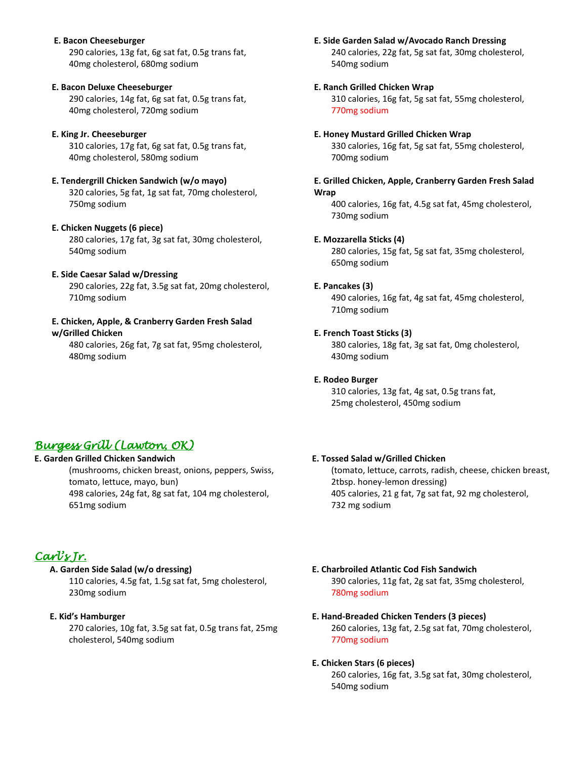#### **E. Bacon Cheeseburger**

290 calories, 13g fat, 6g sat fat, 0.5g trans fat, 40mg cholesterol, 680mg sodium

#### **E. Bacon Deluxe Cheeseburger**

290 calories, 14g fat, 6g sat fat, 0.5g trans fat, 40mg cholesterol, 720mg sodium

#### **E. King Jr. Cheeseburger**

310 calories, 17g fat, 6g sat fat, 0.5g trans fat, 40mg cholesterol, 580mg sodium

#### **E. Tendergrill Chicken Sandwich (w/o mayo)** 320 calories, 5g fat, 1g sat fat, 70mg cholesterol, 750mg sodium

## **E. Chicken Nuggets (6 piece)**

280 calories, 17g fat, 3g sat fat, 30mg cholesterol, 540mg sodium

## **E. Side Caesar Salad w/Dressing**

290 calories, 22g fat, 3.5g sat fat, 20mg cholesterol, 710mg sodium

#### **E. Chicken, Apple, & Cranberry Garden Fresh Salad w/Grilled Chicken**

480 calories, 26g fat, 7g sat fat, 95mg cholesterol, 480mg sodium

#### **E. Side Garden Salad w/Avocado Ranch Dressing**

240 calories, 22g fat, 5g sat fat, 30mg cholesterol, 540mg sodium

#### **E. Ranch Grilled Chicken Wrap**

310 calories, 16g fat, 5g sat fat, 55mg cholesterol, 770mg sodium

#### **E. Honey Mustard Grilled Chicken Wrap**

330 calories, 16g fat, 5g sat fat, 55mg cholesterol, 700mg sodium

#### **E. Grilled Chicken, Apple, Cranberry Garden Fresh Salad Wrap**

400 calories, 16g fat, 4.5g sat fat, 45mg cholesterol, 730mg sodium

#### **E. Mozzarella Sticks (4)**

280 calories, 15g fat, 5g sat fat, 35mg cholesterol, 650mg sodium

#### **E. Pancakes (3)**

490 calories, 16g fat, 4g sat fat, 45mg cholesterol, 710mg sodium

#### **E. French Toast Sticks (3)**

380 calories, 18g fat, 3g sat fat, 0mg cholesterol, 430mg sodium

#### **E. Rodeo Burger**

310 calories, 13g fat, 4g sat, 0.5g trans fat, 25mg cholesterol, 450mg sodium

### **E. Tossed Salad w/Grilled Chicken**

(tomato, lettuce, carrots, radish, cheese, chicken breast, 2tbsp. honey-lemon dressing) 405 calories, 21 g fat, 7g sat fat, 92 mg cholesterol, 732 mg sodium

## *Burgess Grill (Lawton, OK)*

**E. Garden Grilled Chicken Sandwich** (mushrooms, chicken breast, onions, peppers, Swiss,

tomato, lettuce, mayo, bun) 498 calories, 24g fat, 8g sat fat, 104 mg cholesterol, 651mg sodium

## *Carl's Jr.*

## **A. Garden Side Salad (w/o dressing)**

110 calories, 4.5g fat, 1.5g sat fat, 5mg cholesterol, 230mg sodium

#### **E. Kid's Hamburger**

270 calories, 10g fat, 3.5g sat fat, 0.5g trans fat, 25mg cholesterol, 540mg sodium

## **E. Charbroiled Atlantic Cod Fish Sandwich**

390 calories, 11g fat, 2g sat fat, 35mg cholesterol, 780mg sodium

## **E. Hand-Breaded Chicken Tenders (3 pieces)**

260 calories, 13g fat, 2.5g sat fat, 70mg cholesterol, 770mg sodium

#### **E. Chicken Stars (6 pieces)**

260 calories, 16g fat, 3.5g sat fat, 30mg cholesterol, 540mg sodium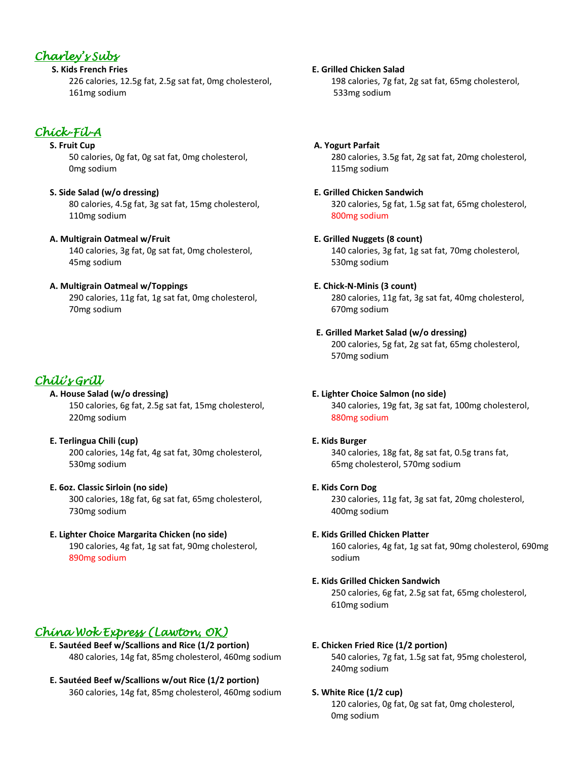## *Charley's Subs*

**S. Kids French Fries**

226 calories, 12.5g fat, 2.5g sat fat, 0mg cholesterol, 161mg sodium

## *Chick-Fil-A*

## **S. Fruit Cup**

50 calories, 0g fat, 0g sat fat, 0mg cholesterol, 0mg sodium

## **S. Side Salad (w/o dressing)**

80 calories, 4.5g fat, 3g sat fat, 15mg cholesterol, 110mg sodium

## **A. Multigrain Oatmeal w/Fruit**

140 calories, 3g fat, 0g sat fat, 0mg cholesterol, 45mg sodium

## **A. Multigrain Oatmeal w/Toppings**

290 calories, 11g fat, 1g sat fat, 0mg cholesterol, 70mg sodium

# *Chili's Grill*

- **A. House Salad (w/o dressing)** 150 calories, 6g fat, 2.5g sat fat, 15mg cholesterol, 220mg sodium
- **E. Terlingua Chili (cup)** 200 calories, 14g fat, 4g sat fat, 30mg cholesterol, 530mg sodium
- **E. 6oz. Classic Sirloin (no side)** 300 calories, 18g fat, 6g sat fat, 65mg cholesterol, 730mg sodium

## **E. Lighter Choice Margarita Chicken (no side)** 190 calories, 4g fat, 1g sat fat, 90mg cholesterol,

890mg sodium

## *China Wok Express (Lawton, OK)*

- **E. Sautéed Beef w/Scallions and Rice (1/2 portion)** 480 calories, 14g fat, 85mg cholesterol, 460mg sodium
- **E. Sautéed Beef w/Scallions w/out Rice (1/2 portion)** 360 calories, 14g fat, 85mg cholesterol, 460mg sodium

 **E. Grilled Chicken Salad** 198 calories, 7g fat, 2g sat fat, 65mg cholesterol, 533mg sodium

- **A. Yogurt Parfait** 280 calories, 3.5g fat, 2g sat fat, 20mg cholesterol, 115mg sodium
- **E. Grilled Chicken Sandwich**

320 calories, 5g fat, 1.5g sat fat, 65mg cholesterol, 800mg sodium

**E. Grilled Nuggets (8 count)**

140 calories, 3g fat, 1g sat fat, 70mg cholesterol, 530mg sodium

## **E. Chick-N-Minis (3 count)**

280 calories, 11g fat, 3g sat fat, 40mg cholesterol, 670mg sodium

## **E. Grilled Market Salad (w/o dressing)**

200 calories, 5g fat, 2g sat fat, 65mg cholesterol, 570mg sodium

## **E. Lighter Choice Salmon (no side)**

340 calories, 19g fat, 3g sat fat, 100mg cholesterol, 880mg sodium

## **E. Kids Burger**

340 calories, 18g fat, 8g sat fat, 0.5g trans fat, 65mg cholesterol, 570mg sodium

**E. Kids Corn Dog**

230 calories, 11g fat, 3g sat fat, 20mg cholesterol, 400mg sodium

## **E. Kids Grilled Chicken Platter**

160 calories, 4g fat, 1g sat fat, 90mg cholesterol, 690mg sodium

## **E. Kids Grilled Chicken Sandwich**

250 calories, 6g fat, 2.5g sat fat, 65mg cholesterol, 610mg sodium

## **E. Chicken Fried Rice (1/2 portion)**

540 calories, 7g fat, 1.5g sat fat, 95mg cholesterol, 240mg sodium

## **S. White Rice (1/2 cup)**

120 calories, 0g fat, 0g sat fat, 0mg cholesterol, 0mg sodium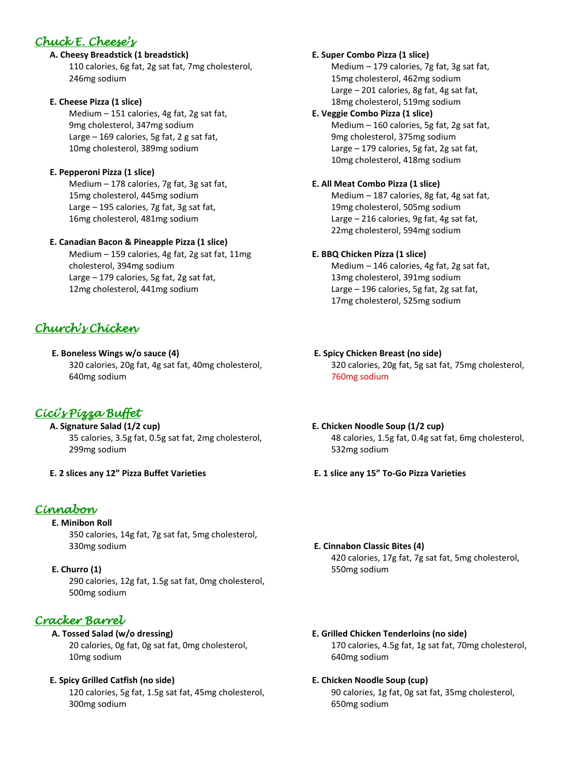## *Chuck E. Cheese's*

## **A. Cheesy Breadstick (1 breadstick)**

110 calories, 6g fat, 2g sat fat, 7mg cholesterol, 246mg sodium

## **E. Cheese Pizza (1 slice)**

Medium – 151 calories, 4g fat, 2g sat fat, 9mg cholesterol, 347mg sodium Large – 169 calories, 5g fat, 2 g sat fat, 10mg cholesterol, 389mg sodium

## **E. Pepperoni Pizza (1 slice)**

Medium – 178 calories, 7g fat, 3g sat fat, 15mg cholesterol, 445mg sodium Large – 195 calories, 7g fat, 3g sat fat, 16mg cholesterol, 481mg sodium

## **E. Canadian Bacon & Pineapple Pizza (1 slice)**

Medium – 159 calories, 4g fat, 2g sat fat, 11mg cholesterol, 394mg sodium Large – 179 calories, 5g fat, 2g sat fat, 12mg cholesterol, 441mg sodium

# *Church's Chicken*

## **E. Boneless Wings w/o sauce (4)** 320 calories, 20g fat, 4g sat fat, 40mg cholesterol, 640mg sodium

# *Cici's Pizza Buffet*

 **A. Signature Salad (1/2 cup)** 35 calories, 3.5g fat, 0.5g sat fat, 2mg cholesterol, 299mg sodium

**E. 2 slices any 12" Pizza Buffet Varieties**

# *Cinnabon*

**E. Minibon Roll** 350 calories, 14g fat, 7g sat fat, 5mg cholesterol, 330mg sodium

**E. Churro (1)** 290 calories, 12g fat, 1.5g sat fat, 0mg cholesterol, 500mg sodium

# *Cracker Barrel*

## **A. Tossed Salad (w/o dressing)** 20 calories, 0g fat, 0g sat fat, 0mg cholesterol, 10mg sodium

## **E. Spicy Grilled Catfish (no side)**

120 calories, 5g fat, 1.5g sat fat, 45mg cholesterol, 300mg sodium

## **E. Super Combo Pizza (1 slice)**

Medium – 179 calories, 7g fat, 3g sat fat, 15mg cholesterol, 462mg sodium Large – 201 calories, 8g fat, 4g sat fat, 18mg cholesterol, 519mg sodium

## **E. Veggie Combo Pizza (1 slice)**

Medium – 160 calories, 5g fat, 2g sat fat, 9mg cholesterol, 375mg sodium Large – 179 calories, 5g fat, 2g sat fat, 10mg cholesterol, 418mg sodium

## **E. All Meat Combo Pizza (1 slice)**

Medium – 187 calories, 8g fat, 4g sat fat, 19mg cholesterol, 505mg sodium Large – 216 calories, 9g fat, 4g sat fat, 22mg cholesterol, 594mg sodium

## **E. BBQ Chicken Pizza (1 slice)**

Medium – 146 calories, 4g fat, 2g sat fat, 13mg cholesterol, 391mg sodium Large – 196 calories, 5g fat, 2g sat fat, 17mg cholesterol, 525mg sodium

## **E. Spicy Chicken Breast (no side)**

320 calories, 20g fat, 5g sat fat, 75mg cholesterol, 760mg sodium

### **E. Chicken Noodle Soup (1/2 cup)** 48 calories, 1.5g fat, 0.4g sat fat, 6mg cholesterol, 532mg sodium

- **E. 1 slice any 15" To-Go Pizza Varieties**
- **E. Cinnabon Classic Bites (4)** 420 calories, 17g fat, 7g sat fat, 5mg cholesterol, 550mg sodium
- **E. Grilled Chicken Tenderloins (no side)** 170 calories, 4.5g fat, 1g sat fat, 70mg cholesterol, 640mg sodium

## **E. Chicken Noodle Soup (cup)**

90 calories, 1g fat, 0g sat fat, 35mg cholesterol, 650mg sodium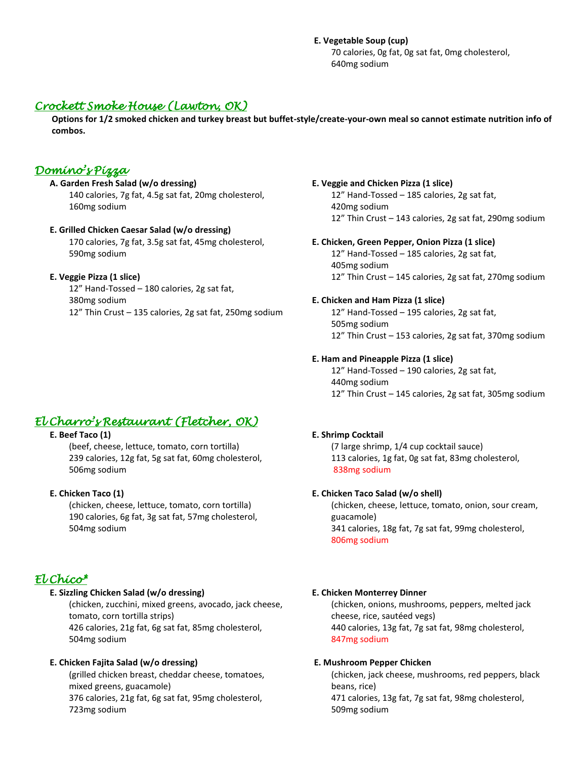## **E. Vegetable Soup (cup)**

70 calories, 0g fat, 0g sat fat, 0mg cholesterol, 640mg sodium

## *Crockett Smoke House (Lawton, OK)*

**Options for 1/2 smoked chicken and turkey breast but buffet-style/create-your-own meal so cannot estimate nutrition info of combos.**

## *Domino's Pizza*

 **A. Garden Fresh Salad (w/o dressing)** 140 calories, 7g fat, 4.5g sat fat, 20mg cholesterol, 160mg sodium

#### **E. Grilled Chicken Caesar Salad (w/o dressing)** 170 calories, 7g fat, 3.5g sat fat, 45mg cholesterol,

590mg sodium

## **E. Veggie Pizza (1 slice)**

12" Hand-Tossed – 180 calories, 2g sat fat, 380mg sodium 12" Thin Crust – 135 calories, 2g sat fat, 250mg sodium

# *El Charro's Restaurant (Fletcher, OK)*

## **E. Beef Taco (1)**

(beef, cheese, lettuce, tomato, corn tortilla) 239 calories, 12g fat, 5g sat fat, 60mg cholesterol, 506mg sodium

## **E. Chicken Taco (1)**

(chicken, cheese, lettuce, tomato, corn tortilla) 190 calories, 6g fat, 3g sat fat, 57mg cholesterol, 504mg sodium

## *El Chico\**

## **E. Sizzling Chicken Salad (w/o dressing)**

(chicken, zucchini, mixed greens, avocado, jack cheese, tomato, corn tortilla strips)

426 calories, 21g fat, 6g sat fat, 85mg cholesterol, 504mg sodium

## **E. Chicken Fajita Salad (w/o dressing)**

(grilled chicken breast, cheddar cheese, tomatoes, mixed greens, guacamole) 376 calories, 21g fat, 6g sat fat, 95mg cholesterol, 723mg sodium

#### **E. Veggie and Chicken Pizza (1 slice)**

12" Hand-Tossed – 185 calories, 2g sat fat, 420mg sodium 12" Thin Crust – 143 calories, 2g sat fat, 290mg sodium

### **E. Chicken, Green Pepper, Onion Pizza (1 slice)**

12" Hand-Tossed – 185 calories, 2g sat fat, 405mg sodium 12" Thin Crust – 145 calories, 2g sat fat, 270mg sodium

## **E. Chicken and Ham Pizza (1 slice)**

12" Hand-Tossed – 195 calories, 2g sat fat, 505mg sodium 12" Thin Crust – 153 calories, 2g sat fat, 370mg sodium

## **E. Ham and Pineapple Pizza (1 slice)**

12" Hand-Tossed – 190 calories, 2g sat fat, 440mg sodium 12" Thin Crust – 145 calories, 2g sat fat, 305mg sodium

## **E. Shrimp Cocktail**

(7 large shrimp, 1/4 cup cocktail sauce) 113 calories, 1g fat, 0g sat fat, 83mg cholesterol, 838mg sodium

### **E. Chicken Taco Salad (w/o shell)**

(chicken, cheese, lettuce, tomato, onion, sour cream, guacamole) 341 calories, 18g fat, 7g sat fat, 99mg cholesterol, 806mg sodium

### **E. Chicken Monterrey Dinner**

(chicken, onions, mushrooms, peppers, melted jack cheese, rice, sautéed vegs) 440 calories, 13g fat, 7g sat fat, 98mg cholesterol, 847mg sodium

### **E. Mushroom Pepper Chicken**

(chicken, jack cheese, mushrooms, red peppers, black beans, rice) 471 calories, 13g fat, 7g sat fat, 98mg cholesterol, 509mg sodium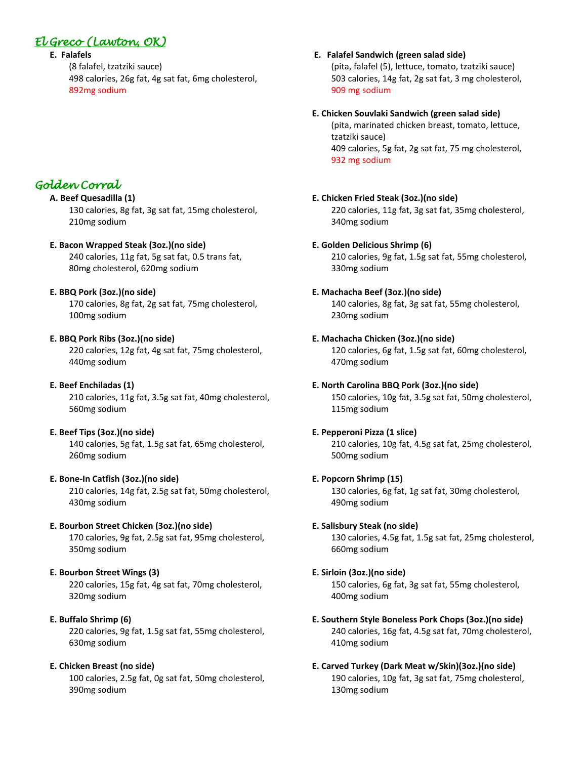# *El Greco (Lawton, OK)*

## **E. Falafels**

(8 falafel, tzatziki sauce) 498 calories, 26g fat, 4g sat fat, 6mg cholesterol, 892mg sodium

# *Golden Corral*

## **A. Beef Quesadilla (1)**

130 calories, 8g fat, 3g sat fat, 15mg cholesterol, 210mg sodium

## **E. Bacon Wrapped Steak (3oz.)(no side)**

240 calories, 11g fat, 5g sat fat, 0.5 trans fat, 80mg cholesterol, 620mg sodium

## **E. BBQ Pork (3oz.)(no side)**

170 calories, 8g fat, 2g sat fat, 75mg cholesterol, 100mg sodium

## **E. BBQ Pork Ribs (3oz.)(no side)**

220 calories, 12g fat, 4g sat fat, 75mg cholesterol, 440mg sodium

## **E. Beef Enchiladas (1)**

210 calories, 11g fat, 3.5g sat fat, 40mg cholesterol, 560mg sodium

### **E. Beef Tips (3oz.)(no side)**

140 calories, 5g fat, 1.5g sat fat, 65mg cholesterol, 260mg sodium

## **E. Bone-In Catfish (3oz.)(no side)**

210 calories, 14g fat, 2.5g sat fat, 50mg cholesterol, 430mg sodium

## **E. Bourbon Street Chicken (3oz.)(no side)**

170 calories, 9g fat, 2.5g sat fat, 95mg cholesterol, 350mg sodium

## **E. Bourbon Street Wings (3)**

220 calories, 15g fat, 4g sat fat, 70mg cholesterol, 320mg sodium

## **E. Buffalo Shrimp (6)**

220 calories, 9g fat, 1.5g sat fat, 55mg cholesterol, 630mg sodium

## **E. Chicken Breast (no side)**

100 calories, 2.5g fat, 0g sat fat, 50mg cholesterol, 390mg sodium

### **E. Falafel Sandwich (green salad side)**

 (pita, falafel (5), lettuce, tomato, tzatziki sauce) 503 calories, 14g fat, 2g sat fat, 3 mg cholesterol, 909 mg sodium

## **E. Chicken Souvlaki Sandwich (green salad side)**

(pita, marinated chicken breast, tomato, lettuce, tzatziki sauce) 409 calories, 5g fat, 2g sat fat, 75 mg cholesterol, 932 mg sodium

## **E. Chicken Fried Steak (3oz.)(no side)**

220 calories, 11g fat, 3g sat fat, 35mg cholesterol, 340mg sodium

## **E. Golden Delicious Shrimp (6)**

210 calories, 9g fat, 1.5g sat fat, 55mg cholesterol, 330mg sodium

## **E. Machacha Beef (3oz.)(no side)**

140 calories, 8g fat, 3g sat fat, 55mg cholesterol, 230mg sodium

## **E. Machacha Chicken (3oz.)(no side)**

120 calories, 6g fat, 1.5g sat fat, 60mg cholesterol, 470mg sodium

## **E. North Carolina BBQ Pork (3oz.)(no side)**

150 calories, 10g fat, 3.5g sat fat, 50mg cholesterol, 115mg sodium

## **E. Pepperoni Pizza (1 slice)**

210 calories, 10g fat, 4.5g sat fat, 25mg cholesterol, 500mg sodium

### **E. Popcorn Shrimp (15)**

130 calories, 6g fat, 1g sat fat, 30mg cholesterol, 490mg sodium

### **E. Salisbury Steak (no side)**

130 calories, 4.5g fat, 1.5g sat fat, 25mg cholesterol, 660mg sodium

### **E. Sirloin (3oz.)(no side)**

150 calories, 6g fat, 3g sat fat, 55mg cholesterol, 400mg sodium

## **E. Southern Style Boneless Pork Chops (3oz.)(no side)** 240 calories, 16g fat, 4.5g sat fat, 70mg cholesterol, 410mg sodium

## **E. Carved Turkey (Dark Meat w/Skin)(3oz.)(no side)** 190 calories, 10g fat, 3g sat fat, 75mg cholesterol, 130mg sodium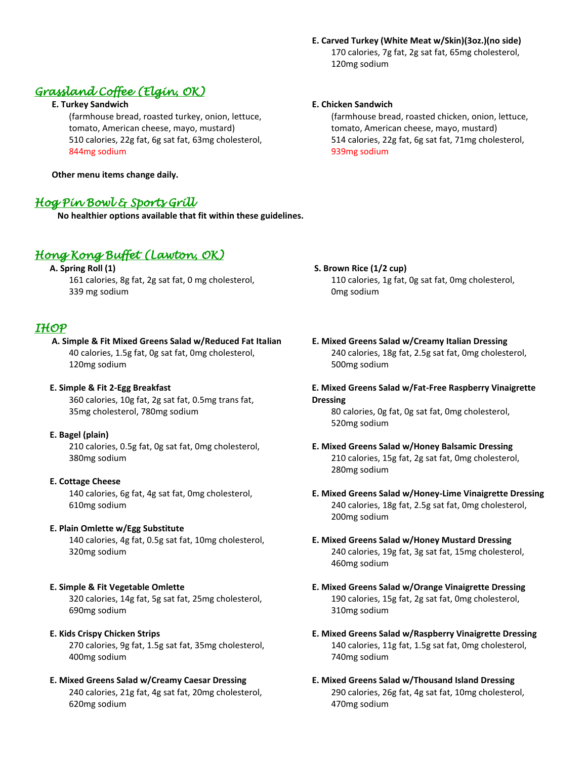## **E. Carved Turkey (White Meat w/Skin)(3oz.)(no side)** 170 calories, 7g fat, 2g sat fat, 65mg cholesterol, 120mg sodium

# *Grassland Coffee (Elgin, OK)*

## **E. Turkey Sandwich**

(farmhouse bread, roasted turkey, onion, lettuce, tomato, American cheese, mayo, mustard) 510 calories, 22g fat, 6g sat fat, 63mg cholesterol, 844mg sodium

**Other menu items change daily.**

## *Hog Pin Bowl & Sports Grill*

**No healthier options available that fit within these guidelines.**

## *Hong Kong Buffet (Lawton, OK)*

 **A. Spring Roll (1)** 161 calories, 8g fat, 2g sat fat, 0 mg cholesterol, 339 mg sodium

## *IHOP*

**A. Simple & Fit Mixed Greens Salad w/Reduced Fat Italian** 40 calories, 1.5g fat, 0g sat fat, 0mg cholesterol, 120mg sodium

## **E. Simple & Fit 2-Egg Breakfast**

360 calories, 10g fat, 2g sat fat, 0.5mg trans fat, 35mg cholesterol, 780mg sodium

## **E. Bagel (plain)**

210 calories, 0.5g fat, 0g sat fat, 0mg cholesterol, 380mg sodium

## **E. Cottage Cheese**

140 calories, 6g fat, 4g sat fat, 0mg cholesterol, 610mg sodium

## **E. Plain Omlette w/Egg Substitute**

140 calories, 4g fat, 0.5g sat fat, 10mg cholesterol, 320mg sodium

## **E. Simple & Fit Vegetable Omlette**

320 calories, 14g fat, 5g sat fat, 25mg cholesterol, 690mg sodium

## **E. Kids Crispy Chicken Strips**

270 calories, 9g fat, 1.5g sat fat, 35mg cholesterol, 400mg sodium

## **E. Mixed Greens Salad w/Creamy Caesar Dressing**

240 calories, 21g fat, 4g sat fat, 20mg cholesterol, 620mg sodium

## **E. Chicken Sandwich**

(farmhouse bread, roasted chicken, onion, lettuce, tomato, American cheese, mayo, mustard) 514 calories, 22g fat, 6g sat fat, 71mg cholesterol, 939mg sodium

## **S. Brown Rice (1/2 cup)**

110 calories, 1g fat, 0g sat fat, 0mg cholesterol, 0mg sodium

 **E. Mixed Greens Salad w/Creamy Italian Dressing** 240 calories, 18g fat, 2.5g sat fat, 0mg cholesterol, 500mg sodium

## **E. Mixed Greens Salad w/Fat-Free Raspberry Vinaigrette Dressing**

80 calories, 0g fat, 0g sat fat, 0mg cholesterol, 520mg sodium

#### **E. Mixed Greens Salad w/Honey Balsamic Dressing** 210 calories, 15g fat, 2g sat fat, 0mg cholesterol, 280mg sodium

 **E. Mixed Greens Salad w/Honey-Lime Vinaigrette Dressing** 240 calories, 18g fat, 2.5g sat fat, 0mg cholesterol, 200mg sodium

### **E. Mixed Greens Salad w/Honey Mustard Dressing** 240 calories, 19g fat, 3g sat fat, 15mg cholesterol, 460mg sodium

## **E. Mixed Greens Salad w/Orange Vinaigrette Dressing** 190 calories, 15g fat, 2g sat fat, 0mg cholesterol, 310mg sodium

 **E. Mixed Greens Salad w/Raspberry Vinaigrette Dressing** 140 calories, 11g fat, 1.5g sat fat, 0mg cholesterol, 740mg sodium

 **E. Mixed Greens Salad w/Thousand Island Dressing** 290 calories, 26g fat, 4g sat fat, 10mg cholesterol, 470mg sodium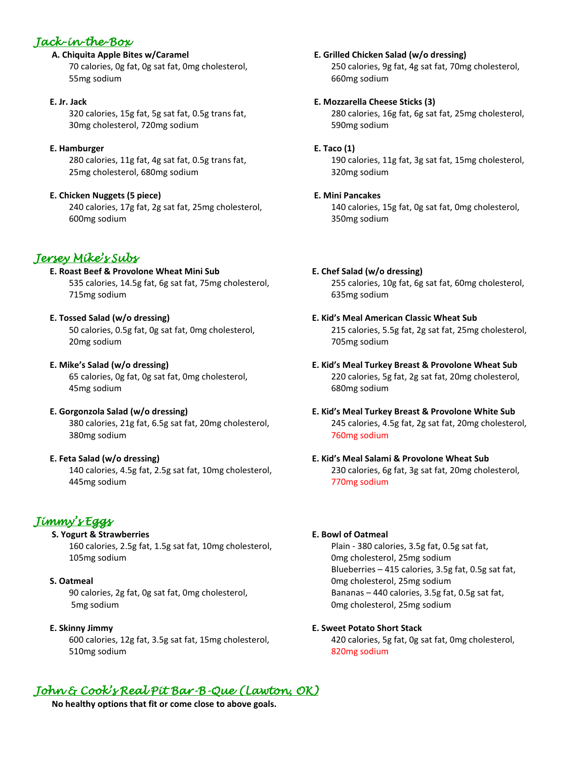## *Jack-in-the-Box*

## **A. Chiquita Apple Bites w/Caramel**

70 calories, 0g fat, 0g sat fat, 0mg cholesterol, 55mg sodium

## **E. Jr. Jack**

320 calories, 15g fat, 5g sat fat, 0.5g trans fat, 30mg cholesterol, 720mg sodium

## **E. Hamburger**

280 calories, 11g fat, 4g sat fat, 0.5g trans fat, 25mg cholesterol, 680mg sodium

## **E. Chicken Nuggets (5 piece)**

240 calories, 17g fat, 2g sat fat, 25mg cholesterol, 600mg sodium

# *Jersey Mike's Subs*

## **E. Roast Beef & Provolone Wheat Mini Sub** 535 calories, 14.5g fat, 6g sat fat, 75mg cholesterol, 715mg sodium

## **E. Tossed Salad (w/o dressing)**

50 calories, 0.5g fat, 0g sat fat, 0mg cholesterol, 20mg sodium

# **E. Mike's Salad (w/o dressing)**

65 calories, 0g fat, 0g sat fat, 0mg cholesterol, 45mg sodium

## **E. Gorgonzola Salad (w/o dressing)** 380 calories, 21g fat, 6.5g sat fat, 20mg cholesterol, 380mg sodium

## **E. Feta Salad (w/o dressing)**

140 calories, 4.5g fat, 2.5g sat fat, 10mg cholesterol, 445mg sodium

# *Jimmy's Eggs*

## **S. Yogurt & Strawberries** 160 calories, 2.5g fat, 1.5g sat fat, 10mg cholesterol, 105mg sodium

## **S. Oatmeal**

90 calories, 2g fat, 0g sat fat, 0mg cholesterol, 5mg sodium

## **E. Skinny Jimmy**

600 calories, 12g fat, 3.5g sat fat, 15mg cholesterol, 510mg sodium

# *John & Cook's Real Pit Bar-B-Que (Lawton, OK)*

**No healthy options that fit or come close to above goals.**

## **E. Grilled Chicken Salad (w/o dressing)**

250 calories, 9g fat, 4g sat fat, 70mg cholesterol, 660mg sodium

## **E. Mozzarella Cheese Sticks (3)**

280 calories, 16g fat, 6g sat fat, 25mg cholesterol, 590mg sodium

## **E. Taco (1)**

190 calories, 11g fat, 3g sat fat, 15mg cholesterol, 320mg sodium

## **E. Mini Pancakes**

140 calories, 15g fat, 0g sat fat, 0mg cholesterol, 350mg sodium

# **E. Chef Salad (w/o dressing)**

255 calories, 10g fat, 6g sat fat, 60mg cholesterol, 635mg sodium

## **E. Kid's Meal American Classic Wheat Sub** 215 calories, 5.5g fat, 2g sat fat, 25mg cholesterol, 705mg sodium

- **E. Kid's Meal Turkey Breast & Provolone Wheat Sub** 220 calories, 5g fat, 2g sat fat, 20mg cholesterol, 680mg sodium
- **E. Kid's Meal Turkey Breast & Provolone White Sub** 245 calories, 4.5g fat, 2g sat fat, 20mg cholesterol, 760mg sodium

## **E. Kid's Meal Salami & Provolone Wheat Sub** 230 calories, 6g fat, 3g sat fat, 20mg cholesterol, 770mg sodium

## **E. Bowl of Oatmeal**

Plain - 380 calories, 3.5g fat, 0.5g sat fat, 0mg cholesterol, 25mg sodium Blueberries – 415 calories, 3.5g fat, 0.5g sat fat, 0mg cholesterol, 25mg sodium Bananas – 440 calories, 3.5g fat, 0.5g sat fat, 0mg cholesterol, 25mg sodium

## **E. Sweet Potato Short Stack**

420 calories, 5g fat, 0g sat fat, 0mg cholesterol, 820mg sodium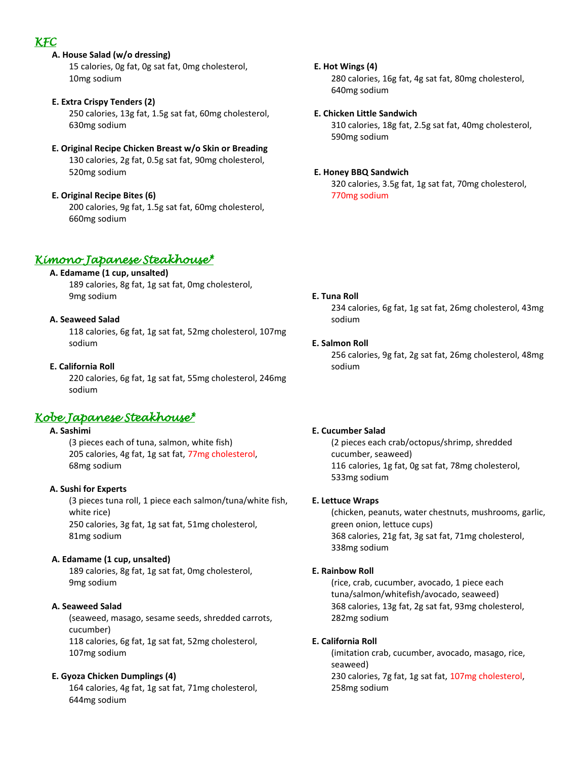## *KFC*

- **A. House Salad (w/o dressing)** 15 calories, 0g fat, 0g sat fat, 0mg cholesterol, 10mg sodium
- **E. Extra Crispy Tenders (2)** 250 calories, 13g fat, 1.5g sat fat, 60mg cholesterol, 630mg sodium
- **E. Original Recipe Chicken Breast w/o Skin or Breading** 130 calories, 2g fat, 0.5g sat fat, 90mg cholesterol, 520mg sodium
- **E. Original Recipe Bites (6)** 200 calories, 9g fat, 1.5g sat fat, 60mg cholesterol, 660mg sodium

## *Kimono Japanese Steakhouse\**

## **A. Edamame (1 cup, unsalted)**

189 calories, 8g fat, 1g sat fat, 0mg cholesterol, 9mg sodium

## **A. Seaweed Salad**

118 calories, 6g fat, 1g sat fat, 52mg cholesterol, 107mg sodium

## **E. California Roll**

220 calories, 6g fat, 1g sat fat, 55mg cholesterol, 246mg sodium

## *Kobe Japanese Steakhouse\**

## **A. Sashimi**

(3 pieces each of tuna, salmon, white fish) 205 calories, 4g fat, 1g sat fat, 77mg cholesterol, 68mg sodium

## **A. Sushi for Experts**

(3 pieces tuna roll, 1 piece each salmon/tuna/white fish, white rice) 250 calories, 3g fat, 1g sat fat, 51mg cholesterol, 81mg sodium

## **A. Edamame (1 cup, unsalted)**

189 calories, 8g fat, 1g sat fat, 0mg cholesterol, 9mg sodium

## **A. Seaweed Salad**

(seaweed, masago, sesame seeds, shredded carrots, cucumber)

118 calories, 6g fat, 1g sat fat, 52mg cholesterol, 107mg sodium

## **E. Gyoza Chicken Dumplings (4)**

164 calories, 4g fat, 1g sat fat, 71mg cholesterol, 644mg sodium

## **E. Hot Wings (4)**

280 calories, 16g fat, 4g sat fat, 80mg cholesterol, 640mg sodium

## **E. Chicken Little Sandwich**

310 calories, 18g fat, 2.5g sat fat, 40mg cholesterol, 590mg sodium

## **E. Honey BBQ Sandwich**

320 calories, 3.5g fat, 1g sat fat, 70mg cholesterol, 770mg sodium

## **E. Tuna Roll**

234 calories, 6g fat, 1g sat fat, 26mg cholesterol, 43mg sodium

## **E. Salmon Roll**

256 calories, 9g fat, 2g sat fat, 26mg cholesterol, 48mg sodium

### **E. Cucumber Salad**

(2 pieces each crab/octopus/shrimp, shredded cucumber, seaweed) 116 calories, 1g fat, 0g sat fat, 78mg cholesterol, 533mg sodium

### **E. Lettuce Wraps**

(chicken, peanuts, water chestnuts, mushrooms, garlic, green onion, lettuce cups) 368 calories, 21g fat, 3g sat fat, 71mg cholesterol, 338mg sodium

## **E. Rainbow Roll**

(rice, crab, cucumber, avocado, 1 piece each tuna/salmon/whitefish/avocado, seaweed) 368 calories, 13g fat, 2g sat fat, 93mg cholesterol, 282mg sodium

## **E. California Roll**

(imitation crab, cucumber, avocado, masago, rice, seaweed) 230 calories, 7g fat, 1g sat fat, 107mg cholesterol, 258mg sodium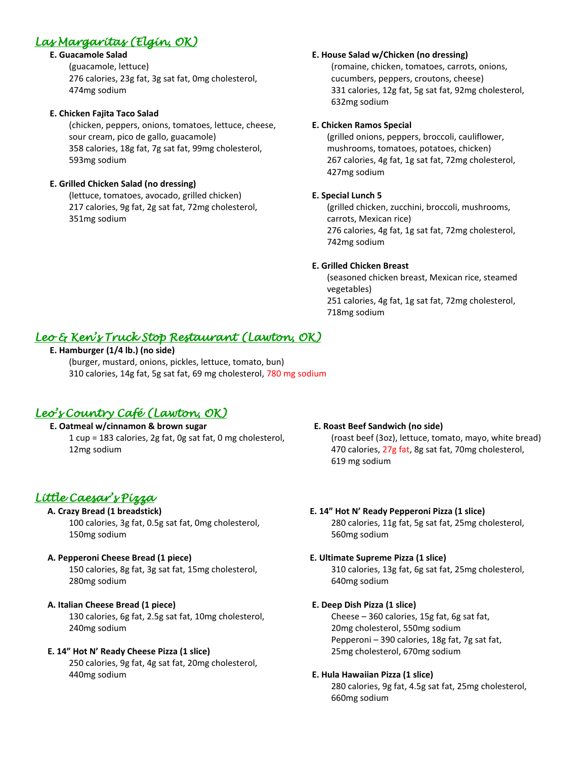# *Las Margaritas (Elgin, OK)*

## **E. Guacamole Salad**

(guacamole, lettuce) 276 calories, 23g fat, 3g sat fat, 0mg cholesterol, 474mg sodium

## **E. Chicken Fajita Taco Salad**

(chicken, peppers, onions, tomatoes, lettuce, cheese, sour cream, pico de gallo, guacamole) 358 calories, 18g fat, 7g sat fat, 99mg cholesterol, 593mg sodium

## **E. Grilled Chicken Salad (no dressing)**

(lettuce, tomatoes, avocado, grilled chicken) 217 calories, 9g fat, 2g sat fat, 72mg cholesterol, 351mg sodium

## **E. House Salad w/Chicken (no dressing)**

(romaine, chicken, tomatoes, carrots, onions, cucumbers, peppers, croutons, cheese) 331 calories, 12g fat, 5g sat fat, 92mg cholesterol, 632mg sodium

## **E. Chicken Ramos Special**

 (grilled onions, peppers, broccoli, cauliflower, mushrooms, tomatoes, potatoes, chicken) 267 calories, 4g fat, 1g sat fat, 72mg cholesterol, 427mg sodium

## **E. Special Lunch 5**

(grilled chicken, zucchini, broccoli, mushrooms, carrots, Mexican rice) 276 calories, 4g fat, 1g sat fat, 72mg cholesterol, 742mg sodium

## **E. Grilled Chicken Breast**

(seasoned chicken breast, Mexican rice, steamed vegetables) 251 calories, 4g fat, 1g sat fat, 72mg cholesterol, 718mg sodium

## *Leo & Ken's Truck Stop Restaurant (Lawton, OK)*

## **E. Hamburger (1/4 lb.) (no side)**

 (burger, mustard, onions, pickles, lettuce, tomato, bun) 310 calories, 14g fat, 5g sat fat, 69 mg cholesterol, 780 mg sodium

## *Leo's Country Café (Lawton, OK)*

## **E. Oatmeal w/cinnamon & brown sugar**

1 cup = 183 calories, 2g fat, 0g sat fat, 0 mg cholesterol, 12mg sodium

## *Little Caesar's Pizza*

## **A. Crazy Bread (1 breadstick)**

100 calories, 3g fat, 0.5g sat fat, 0mg cholesterol, 150mg sodium

### **A. Pepperoni Cheese Bread (1 piece)**

150 calories, 8g fat, 3g sat fat, 15mg cholesterol, 280mg sodium

## **A. Italian Cheese Bread (1 piece)**

130 calories, 6g fat, 2.5g sat fat, 10mg cholesterol, 240mg sodium

## **E. 14" Hot N' Ready Cheese Pizza (1 slice)**

250 calories, 9g fat, 4g sat fat, 20mg cholesterol, 440mg sodium

### **E. Roast Beef Sandwich (no side)**

(roast beef (3oz), lettuce, tomato, mayo, white bread) 470 calories, 27g fat, 8g sat fat, 70mg cholesterol, 619 mg sodium

## **E. 14" Hot N' Ready Pepperoni Pizza (1 slice)**

280 calories, 11g fat, 5g sat fat, 25mg cholesterol, 560mg sodium

### **E. Ultimate Supreme Pizza (1 slice)**

310 calories, 13g fat, 6g sat fat, 25mg cholesterol, 640mg sodium

### **E. Deep Dish Pizza (1 slice)**

Cheese – 360 calories, 15g fat, 6g sat fat, 20mg cholesterol, 550mg sodium Pepperoni – 390 calories, 18g fat, 7g sat fat, 25mg cholesterol, 670mg sodium

### **E. Hula Hawaiian Pizza (1 slice)**

280 calories, 9g fat, 4.5g sat fat, 25mg cholesterol, 660mg sodium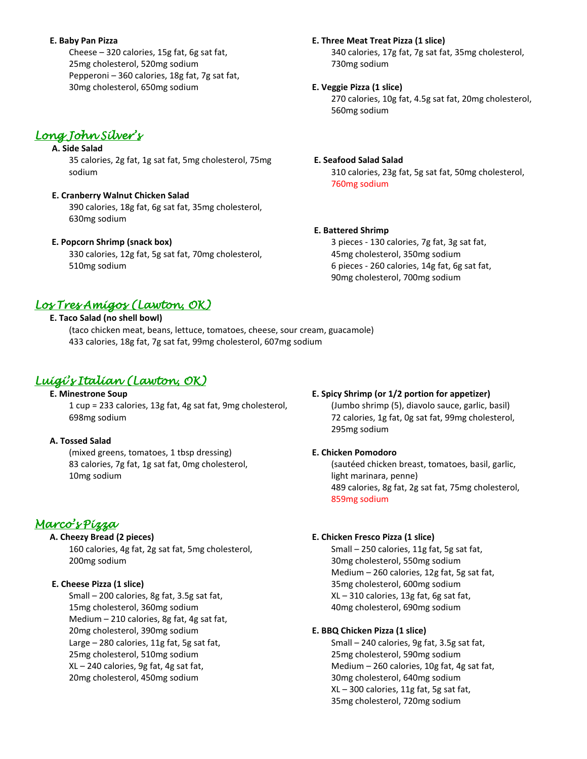#### **E. Baby Pan Pizza**

Cheese – 320 calories, 15g fat, 6g sat fat, 25mg cholesterol, 520mg sodium Pepperoni – 360 calories, 18g fat, 7g sat fat, 30mg cholesterol, 650mg sodium

## *Long John Silver's*

## **A. Side Salad**

35 calories, 2g fat, 1g sat fat, 5mg cholesterol, 75mg sodium

## **E. Cranberry Walnut Chicken Salad**

390 calories, 18g fat, 6g sat fat, 35mg cholesterol, 630mg sodium

### **E. Popcorn Shrimp (snack box)**

330 calories, 12g fat, 5g sat fat, 70mg cholesterol, 510mg sodium

## *Los Tres Amigos (Lawton, OK)*

## **E. Taco Salad (no shell bowl)**

 (taco chicken meat, beans, lettuce, tomatoes, cheese, sour cream, guacamole) 433 calories, 18g fat, 7g sat fat, 99mg cholesterol, 607mg sodium

## *Luigi's Italian (Lawton, OK)*

 **E. Minestrone Soup** 1 cup = 233 calories, 13g fat, 4g sat fat, 9mg cholesterol, 698mg sodium

### **A. Tossed Salad**

(mixed greens, tomatoes, 1 tbsp dressing) 83 calories, 7g fat, 1g sat fat, 0mg cholesterol, 10mg sodium

## *Marco's Pizza*

### **A. Cheezy Bread (2 pieces)**

160 calories, 4g fat, 2g sat fat, 5mg cholesterol, 200mg sodium

### **E. Cheese Pizza (1 slice)**

Small – 200 calories, 8g fat, 3.5g sat fat, 15mg cholesterol, 360mg sodium Medium – 210 calories, 8g fat, 4g sat fat, 20mg cholesterol, 390mg sodium Large – 280 calories, 11g fat, 5g sat fat, 25mg cholesterol, 510mg sodium XL – 240 calories, 9g fat, 4g sat fat, 20mg cholesterol, 450mg sodium

#### **E. Three Meat Treat Pizza (1 slice)**

340 calories, 17g fat, 7g sat fat, 35mg cholesterol, 730mg sodium

#### **E. Veggie Pizza (1 slice)**

270 calories, 10g fat, 4.5g sat fat, 20mg cholesterol, 560mg sodium

#### **E. Seafood Salad Salad**

310 calories, 23g fat, 5g sat fat, 50mg cholesterol, 760mg sodium

#### **E. Battered Shrimp**

3 pieces - 130 calories, 7g fat, 3g sat fat, 45mg cholesterol, 350mg sodium 6 pieces - 260 calories, 14g fat, 6g sat fat, 90mg cholesterol, 700mg sodium

# **E. Spicy Shrimp (or 1/2 portion for appetizer)**

(Jumbo shrimp (5), diavolo sauce, garlic, basil) 72 calories, 1g fat, 0g sat fat, 99mg cholesterol, 295mg sodium

#### **E. Chicken Pomodoro**

(sautéed chicken breast, tomatoes, basil, garlic, light marinara, penne) 489 calories, 8g fat, 2g sat fat, 75mg cholesterol, 859mg sodium

#### **E. Chicken Fresco Pizza (1 slice)**

Small – 250 calories, 11g fat, 5g sat fat, 30mg cholesterol, 550mg sodium Medium – 260 calories, 12g fat, 5g sat fat, 35mg cholesterol, 600mg sodium XL – 310 calories, 13g fat, 6g sat fat, 40mg cholesterol, 690mg sodium

#### **E. BBQ Chicken Pizza (1 slice)**

Small – 240 calories, 9g fat, 3.5g sat fat, 25mg cholesterol, 590mg sodium Medium – 260 calories, 10g fat, 4g sat fat, 30mg cholesterol, 640mg sodium XL – 300 calories, 11g fat, 5g sat fat, 35mg cholesterol, 720mg sodium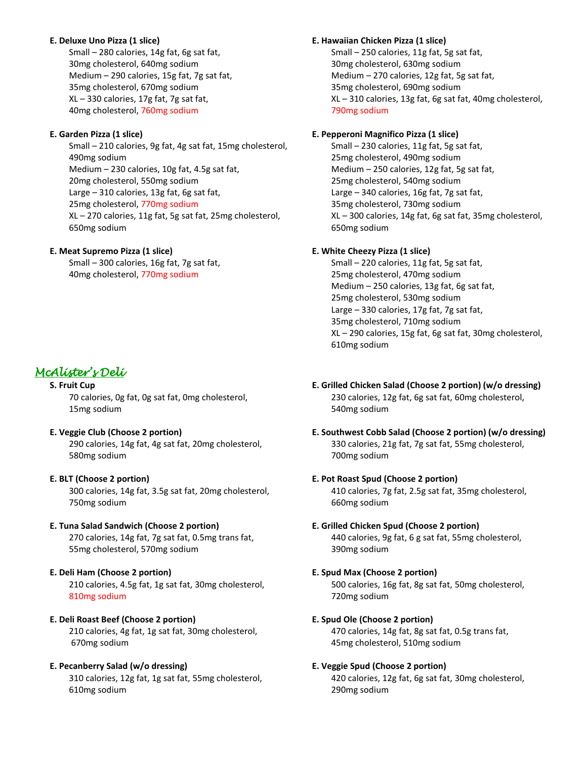### **E. Deluxe Uno Pizza (1 slice)**

Small – 280 calories, 14g fat, 6g sat fat, 30mg cholesterol, 640mg sodium Medium – 290 calories, 15g fat, 7g sat fat, 35mg cholesterol, 670mg sodium XL – 330 calories, 17g fat, 7g sat fat, 40mg cholesterol, 760mg sodium

## **E. Garden Pizza (1 slice)**

Small – 210 calories, 9g fat, 4g sat fat, 15mg cholesterol, 490mg sodium Medium – 230 calories, 10g fat, 4.5g sat fat, 20mg cholesterol, 550mg sodium Large – 310 calories, 13g fat, 6g sat fat, 25mg cholesterol, 770mg sodium XL – 270 calories, 11g fat, 5g sat fat, 25mg cholesterol, 650mg sodium

## **E. Meat Supremo Pizza (1 slice)**

Small – 300 calories, 16g fat, 7g sat fat, 40mg cholesterol, 770mg sodium

## *McAlister's Deli*

### **S. Fruit Cup**

70 calories, 0g fat, 0g sat fat, 0mg cholesterol, 15mg sodium

 **E. Veggie Club (Choose 2 portion)** 290 calories, 14g fat, 4g sat fat, 20mg cholesterol, 580mg sodium

### **E. BLT (Choose 2 portion)**

300 calories, 14g fat, 3.5g sat fat, 20mg cholesterol, 750mg sodium

### **E. Tuna Salad Sandwich (Choose 2 portion)**

270 calories, 14g fat, 7g sat fat, 0.5mg trans fat, 55mg cholesterol, 570mg sodium

### **E. Deli Ham (Choose 2 portion)**

210 calories, 4.5g fat, 1g sat fat, 30mg cholesterol, 810mg sodium

## **E. Deli Roast Beef (Choose 2 portion)**

210 calories, 4g fat, 1g sat fat, 30mg cholesterol, 670mg sodium

### **E. Pecanberry Salad (w/o dressing)**

310 calories, 12g fat, 1g sat fat, 55mg cholesterol, 610mg sodium

### **E. Hawaiian Chicken Pizza (1 slice)**

Small – 250 calories, 11g fat, 5g sat fat, 30mg cholesterol, 630mg sodium Medium – 270 calories, 12g fat, 5g sat fat, 35mg cholesterol, 690mg sodium XL – 310 calories, 13g fat, 6g sat fat, 40mg cholesterol, 790mg sodium

## **E. Pepperoni Magnifico Pizza (1 slice)**

Small – 230 calories, 11g fat, 5g sat fat, 25mg cholesterol, 490mg sodium Medium – 250 calories, 12g fat, 5g sat fat, 25mg cholesterol, 540mg sodium Large – 340 calories, 16g fat, 7g sat fat, 35mg cholesterol, 730mg sodium XL – 300 calories, 14g fat, 6g sat fat, 35mg cholesterol, 650mg sodium

## **E. White Cheezy Pizza (1 slice)**

Small – 220 calories, 11g fat, 5g sat fat, 25mg cholesterol, 470mg sodium Medium – 250 calories, 13g fat, 6g sat fat, 25mg cholesterol, 530mg sodium Large – 330 calories, 17g fat, 7g sat fat, 35mg cholesterol, 710mg sodium XL – 290 calories, 15g fat, 6g sat fat, 30mg cholesterol, 610mg sodium

- **E. Grilled Chicken Salad (Choose 2 portion) (w/o dressing)** 230 calories, 12g fat, 6g sat fat, 60mg cholesterol, 540mg sodium
- **E. Southwest Cobb Salad (Choose 2 portion) (w/o dressing)** 330 calories, 21g fat, 7g sat fat, 55mg cholesterol, 700mg sodium

## **E. Pot Roast Spud (Choose 2 portion)**

410 calories, 7g fat, 2.5g sat fat, 35mg cholesterol, 660mg sodium

## **E. Grilled Chicken Spud (Choose 2 portion)**

440 calories, 9g fat, 6 g sat fat, 55mg cholesterol, 390mg sodium

### **E. Spud Max (Choose 2 portion)**

500 calories, 16g fat, 8g sat fat, 50mg cholesterol, 720mg sodium

### **E. Spud Ole (Choose 2 portion)**

470 calories, 14g fat, 8g sat fat, 0.5g trans fat, 45mg cholesterol, 510mg sodium

### **E. Veggie Spud (Choose 2 portion)**

420 calories, 12g fat, 6g sat fat, 30mg cholesterol, 290mg sodium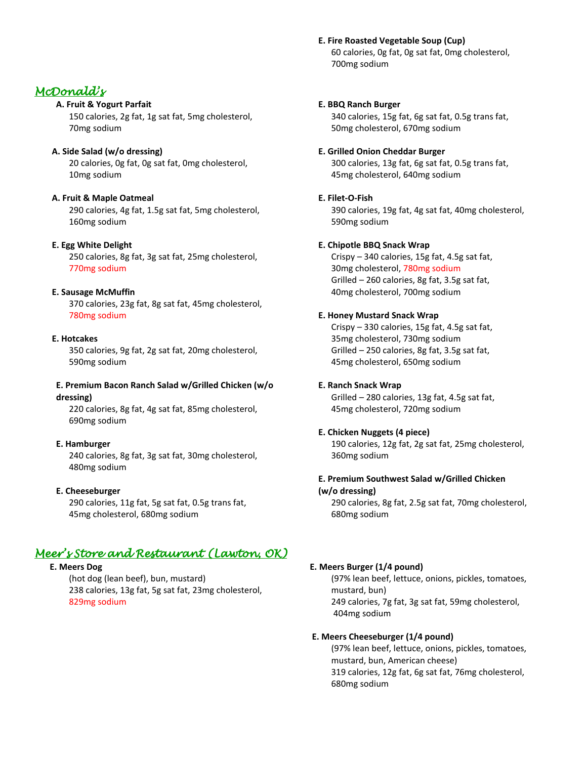### **E. Fire Roasted Vegetable Soup (Cup)**

60 calories, 0g fat, 0g sat fat, 0mg cholesterol, 700mg sodium

#### **E. BBQ Ranch Burger**

340 calories, 15g fat, 6g sat fat, 0.5g trans fat, 50mg cholesterol, 670mg sodium

#### **E. Grilled Onion Cheddar Burger**

300 calories, 13g fat, 6g sat fat, 0.5g trans fat, 45mg cholesterol, 640mg sodium

#### **E. Filet-O-Fish**

390 calories, 19g fat, 4g sat fat, 40mg cholesterol, 590mg sodium

#### **E. Chipotle BBQ Snack Wrap**

Crispy – 340 calories, 15g fat, 4.5g sat fat, 30mg cholesterol, 780mg sodium Grilled – 260 calories, 8g fat, 3.5g sat fat, 40mg cholesterol, 700mg sodium

#### **E. Honey Mustard Snack Wrap**

Crispy – 330 calories, 15g fat, 4.5g sat fat, 35mg cholesterol, 730mg sodium Grilled – 250 calories, 8g fat, 3.5g sat fat, 45mg cholesterol, 650mg sodium

#### **E. Ranch Snack Wrap**

Grilled – 280 calories, 13g fat, 4.5g sat fat, 45mg cholesterol, 720mg sodium

#### **E. Chicken Nuggets (4 piece)**

190 calories, 12g fat, 2g sat fat, 25mg cholesterol, 360mg sodium

#### **E. Premium Southwest Salad w/Grilled Chicken (w/o dressing)**

290 calories, 8g fat, 2.5g sat fat, 70mg cholesterol, 680mg sodium

#### **E. Meers Burger (1/4 pound)**

(97% lean beef, lettuce, onions, pickles, tomatoes, mustard, bun) 249 calories, 7g fat, 3g sat fat, 59mg cholesterol, 404mg sodium

#### **E. Meers Cheeseburger (1/4 pound)**

(97% lean beef, lettuce, onions, pickles, tomatoes, mustard, bun, American cheese) 319 calories, 12g fat, 6g sat fat, 76mg cholesterol, 680mg sodium

## *McDonald's*

### **A. Fruit & Yogurt Parfait**

150 calories, 2g fat, 1g sat fat, 5mg cholesterol, 70mg sodium

#### **A. Side Salad (w/o dressing)**

20 calories, 0g fat, 0g sat fat, 0mg cholesterol, 10mg sodium

#### **A. Fruit & Maple Oatmeal**

290 calories, 4g fat, 1.5g sat fat, 5mg cholesterol, 160mg sodium

#### **E. Egg White Delight**

250 calories, 8g fat, 3g sat fat, 25mg cholesterol, 770mg sodium

#### **E. Sausage McMuffin**

370 calories, 23g fat, 8g sat fat, 45mg cholesterol, 780mg sodium

#### **E. Hotcakes**

350 calories, 9g fat, 2g sat fat, 20mg cholesterol, 590mg sodium

#### **E. Premium Bacon Ranch Salad w/Grilled Chicken (w/o dressing)**

220 calories, 8g fat, 4g sat fat, 85mg cholesterol, 690mg sodium

#### **E. Hamburger**

240 calories, 8g fat, 3g sat fat, 30mg cholesterol, 480mg sodium

#### **E. Cheeseburger**

290 calories, 11g fat, 5g sat fat, 0.5g trans fat, 45mg cholesterol, 680mg sodium

## *Meer's Store and Restaurant (Lawton, OK)*

## **E. Meers Dog**

(hot dog (lean beef), bun, mustard) 238 calories, 13g fat, 5g sat fat, 23mg cholesterol, 829mg sodium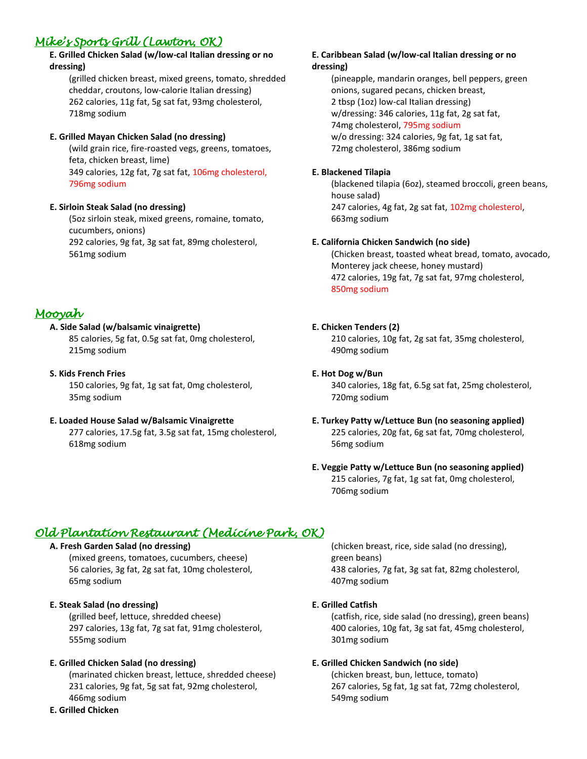# *Mike's Sports Grill (Lawton, OK)*

## **E. Grilled Chicken Salad (w/low-cal Italian dressing or no dressing)**

(grilled chicken breast, mixed greens, tomato, shredded cheddar, croutons, low-calorie Italian dressing) 262 calories, 11g fat, 5g sat fat, 93mg cholesterol, 718mg sodium

## **E. Grilled Mayan Chicken Salad (no dressing)**

(wild grain rice, fire-roasted vegs, greens, tomatoes, feta, chicken breast, lime) 349 calories, 12g fat, 7g sat fat, 106mg cholesterol, 796mg sodium

## **E. Sirloin Steak Salad (no dressing)**

(5oz sirloin steak, mixed greens, romaine, tomato, cucumbers, onions) 292 calories, 9g fat, 3g sat fat, 89mg cholesterol, 561mg sodium

## *Mooyah*

## **A. Side Salad (w/balsamic vinaigrette)**

85 calories, 5g fat, 0.5g sat fat, 0mg cholesterol, 215mg sodium

## **S. Kids French Fries**

150 calories, 9g fat, 1g sat fat, 0mg cholesterol, 35mg sodium

## **E. Loaded House Salad w/Balsamic Vinaigrette**

277 calories, 17.5g fat, 3.5g sat fat, 15mg cholesterol, 618mg sodium

#### **E. Caribbean Salad (w/low-cal Italian dressing or no dressing)**

(pineapple, mandarin oranges, bell peppers, green onions, sugared pecans, chicken breast, 2 tbsp (1oz) low-cal Italian dressing) w/dressing: 346 calories, 11g fat, 2g sat fat, 74mg cholesterol, 795mg sodium w/o dressing: 324 calories, 9g fat, 1g sat fat, 72mg cholesterol, 386mg sodium

### **E. Blackened Tilapia**

(blackened tilapia (6oz), steamed broccoli, green beans, house salad) 247 calories, 4g fat, 2g sat fat, 102mg cholesterol, 663mg sodium

### **E. California Chicken Sandwich (no side)**

(Chicken breast, toasted wheat bread, tomato, avocado, Monterey jack cheese, honey mustard) 472 calories, 19g fat, 7g sat fat, 97mg cholesterol, 850mg sodium

## **E. Chicken Tenders (2)**

210 calories, 10g fat, 2g sat fat, 35mg cholesterol, 490mg sodium

### **E. Hot Dog w/Bun**

340 calories, 18g fat, 6.5g sat fat, 25mg cholesterol, 720mg sodium

## **E. Turkey Patty w/Lettuce Bun (no seasoning applied)** 225 calories, 20g fat, 6g sat fat, 70mg cholesterol, 56mg sodium

## **E. Veggie Patty w/Lettuce Bun (no seasoning applied)** 215 calories, 7g fat, 1g sat fat, 0mg cholesterol, 706mg sodium

## *Old Plantation Restaurant (Medicine Park, OK)*

### **A. Fresh Garden Salad (no dressing)**

(mixed greens, tomatoes, cucumbers, cheese) 56 calories, 3g fat, 2g sat fat, 10mg cholesterol, 65mg sodium

### **E. Steak Salad (no dressing)**

(grilled beef, lettuce, shredded cheese) 297 calories, 13g fat, 7g sat fat, 91mg cholesterol, 555mg sodium

### **E. Grilled Chicken Salad (no dressing)**

(marinated chicken breast, lettuce, shredded cheese) 231 calories, 9g fat, 5g sat fat, 92mg cholesterol, 466mg sodium

#### **E. Grilled Chicken**

(chicken breast, rice, side salad (no dressing), green beans) 438 calories, 7g fat, 3g sat fat, 82mg cholesterol, 407mg sodium

### **E. Grilled Catfish**

(catfish, rice, side salad (no dressing), green beans) 400 calories, 10g fat, 3g sat fat, 45mg cholesterol, 301mg sodium

### **E. Grilled Chicken Sandwich (no side)**

(chicken breast, bun, lettuce, tomato) 267 calories, 5g fat, 1g sat fat, 72mg cholesterol, 549mg sodium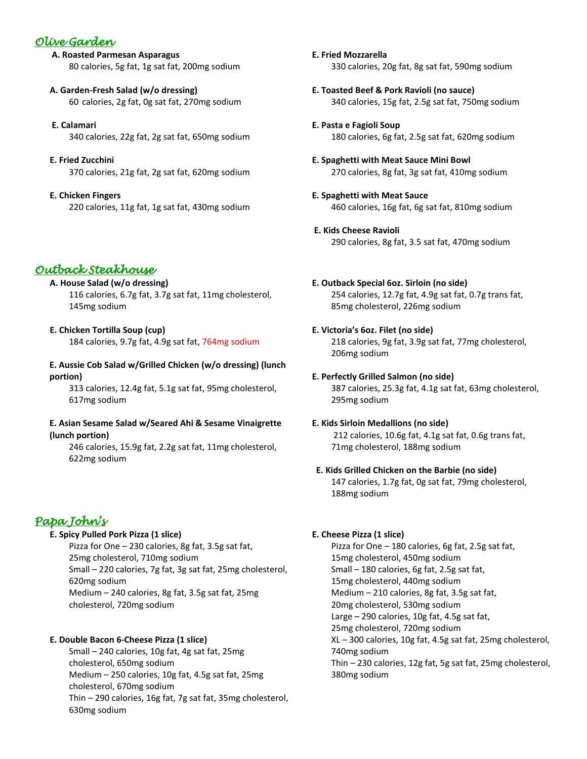## *Olive Garden*

**A. Roasted Parmesan Asparagus** 80 calories, 5g fat, 1g sat fat, 200mg sodium

- **A. Garden-Fresh Salad (w/o dressing)** 60 calories, 2g fat, 0g sat fat, 270mg sodium
- **E. Calamari** 340 calories, 22g fat, 2g sat fat, 650mg sodium
- **E. Fried Zucchini** 370 calories, 21g fat, 2g sat fat, 620mg sodium
- **E. Chicken Fingers** 220 calories, 11g fat, 1g sat fat, 430mg sodium

## *Outback Steakhouse*

## **A. House Salad (w/o dressing)**

116 calories, 6.7g fat, 3.7g sat fat, 11mg cholesterol, 145mg sodium

 **E. Chicken Tortilla Soup (cup)**

184 calories, 9.7g fat, 4.9g sat fat, 764mg sodium

## **E. Aussie Cob Salad w/Grilled Chicken (w/o dressing) (lunch portion)**

313 calories, 12.4g fat, 5.1g sat fat, 95mg cholesterol, 617mg sodium

## **E. Asian Sesame Salad w/Seared Ahi & Sesame Vinaigrette (lunch portion)**

246 calories, 15.9g fat, 2.2g sat fat, 11mg cholesterol, 622mg sodium

## *Papa John's*

### **E. Spicy Pulled Pork Pizza (1 slice)**

Pizza for One – 230 calories, 8g fat, 3.5g sat fat, 25mg cholesterol, 710mg sodium Small – 220 calories, 7g fat, 3g sat fat, 25mg cholesterol, 620mg sodium Medium – 240 calories, 8g fat, 3.5g sat fat, 25mg cholesterol, 720mg sodium

## **E. Double Bacon 6-Cheese Pizza (1 slice)**

Small – 240 calories, 10g fat, 4g sat fat, 25mg cholesterol, 650mg sodium Medium – 250 calories, 10g fat, 4.5g sat fat, 25mg cholesterol, 670mg sodium Thin – 290 calories, 16g fat, 7g sat fat, 35mg cholesterol, 630mg sodium

 **E. Fried Mozzarella** 330 calories, 20g fat, 8g sat fat, 590mg sodium

- **E. Toasted Beef & Pork Ravioli (no sauce)** 340 calories, 15g fat, 2.5g sat fat, 750mg sodium
- **E. Pasta e Fagioli Soup** 180 calories, 6g fat, 2.5g sat fat, 620mg sodium
- **E. Spaghetti with Meat Sauce Mini Bowl** 270 calories, 8g fat, 3g sat fat, 410mg sodium
- **E. Spaghetti with Meat Sauce** 460 calories, 16g fat, 6g sat fat, 810mg sodium
- **E. Kids Cheese Ravioli** 290 calories, 8g fat, 3.5 sat fat, 470mg sodium
- **E. Outback Special 6oz. Sirloin (no side)** 254 calories, 12.7g fat, 4.9g sat fat, 0.7g trans fat, 85mg cholesterol, 226mg sodium
- **E. Victoria's 6oz. Filet (no side)** 218 calories, 9g fat, 3.9g sat fat, 77mg cholesterol, 206mg sodium
- **E. Perfectly Grilled Salmon (no side)** 387 calories, 25.3g fat, 4.1g sat fat, 63mg cholesterol, 295mg sodium

## **E. Kids Sirloin Medallions (no side)**

 212 calories, 10.6g fat, 4.1g sat fat, 0.6g trans fat, 71mg cholesterol, 188mg sodium

## **E. Kids Grilled Chicken on the Barbie (no side)**

147 calories, 1.7g fat, 0g sat fat, 79mg cholesterol, 188mg sodium

## **E. Cheese Pizza (1 slice)**

Pizza for One – 180 calories, 6g fat, 2.5g sat fat, 15mg cholesterol, 450mg sodium Small – 180 calories, 6g fat, 2.5g sat fat, 15mg cholesterol, 440mg sodium Medium – 210 calories, 8g fat, 3.5g sat fat, 20mg cholesterol, 530mg sodium Large – 290 calories, 10g fat, 4.5g sat fat, 25mg cholesterol, 720mg sodium XL – 300 calories, 10g fat, 4.5g sat fat, 25mg cholesterol, 740mg sodium Thin – 230 calories, 12g fat, 5g sat fat, 25mg cholesterol, 380mg sodium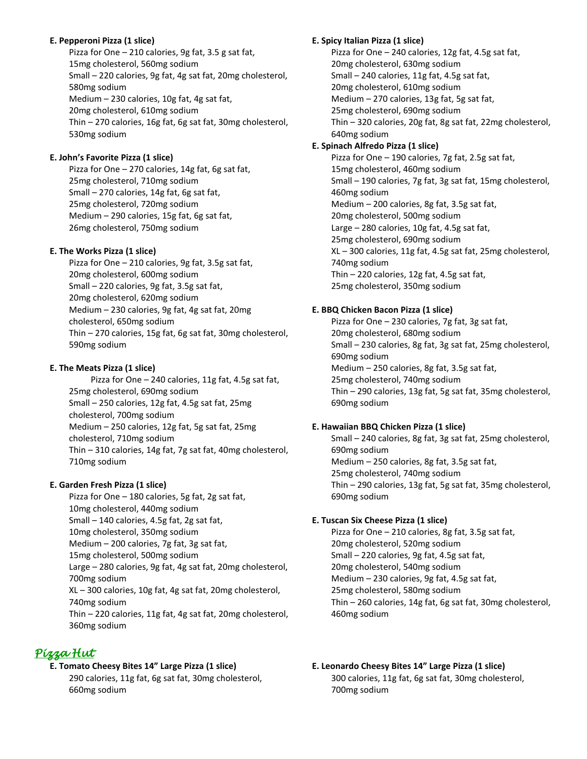## **E. Pepperoni Pizza (1 slice)**

Pizza for One – 210 calories, 9g fat, 3.5 g sat fat, 15mg cholesterol, 560mg sodium Small – 220 calories, 9g fat, 4g sat fat, 20mg cholesterol, 580mg sodium Medium – 230 calories, 10g fat, 4g sat fat, 20mg cholesterol, 610mg sodium Thin – 270 calories, 16g fat, 6g sat fat, 30mg cholesterol, 530mg sodium

## **E. John's Favorite Pizza (1 slice)**

Pizza for One – 270 calories, 14g fat, 6g sat fat, 25mg cholesterol, 710mg sodium Small – 270 calories, 14g fat, 6g sat fat, 25mg cholesterol, 720mg sodium Medium – 290 calories, 15g fat, 6g sat fat, 26mg cholesterol, 750mg sodium

### **E. The Works Pizza (1 slice)**

Pizza for One – 210 calories, 9g fat, 3.5g sat fat, 20mg cholesterol, 600mg sodium Small – 220 calories, 9g fat, 3.5g sat fat, 20mg cholesterol, 620mg sodium Medium – 230 calories, 9g fat, 4g sat fat, 20mg cholesterol, 650mg sodium Thin – 270 calories, 15g fat, 6g sat fat, 30mg cholesterol, 590mg sodium

## **E. The Meats Pizza (1 slice)**

 Pizza for One – 240 calories, 11g fat, 4.5g sat fat, 25mg cholesterol, 690mg sodium Small – 250 calories, 12g fat, 4.5g sat fat, 25mg cholesterol, 700mg sodium Medium – 250 calories, 12g fat, 5g sat fat, 25mg cholesterol, 710mg sodium Thin – 310 calories, 14g fat, 7g sat fat, 40mg cholesterol, 710mg sodium

## **E. Garden Fresh Pizza (1 slice)**

Pizza for One – 180 calories, 5g fat, 2g sat fat, 10mg cholesterol, 440mg sodium Small – 140 calories, 4.5g fat, 2g sat fat, 10mg cholesterol, 350mg sodium Medium – 200 calories, 7g fat, 3g sat fat, 15mg cholesterol, 500mg sodium Large – 280 calories, 9g fat, 4g sat fat, 20mg cholesterol, 700mg sodium XL – 300 calories, 10g fat, 4g sat fat, 20mg cholesterol, 740mg sodium Thin – 220 calories, 11g fat, 4g sat fat, 20mg cholesterol, 360mg sodium

## *Pizza Hut*

## **E. Tomato Cheesy Bites 14" Large Pizza (1 slice)**

290 calories, 11g fat, 6g sat fat, 30mg cholesterol, 660mg sodium

## **E. Spicy Italian Pizza (1 slice)**

Pizza for One – 240 calories, 12g fat, 4.5g sat fat, 20mg cholesterol, 630mg sodium Small – 240 calories, 11g fat, 4.5g sat fat, 20mg cholesterol, 610mg sodium Medium – 270 calories, 13g fat, 5g sat fat, 25mg cholesterol, 690mg sodium Thin – 320 calories, 20g fat, 8g sat fat, 22mg cholesterol, 640mg sodium

## **E. Spinach Alfredo Pizza (1 slice)**

Pizza for One – 190 calories, 7g fat, 2.5g sat fat, 15mg cholesterol, 460mg sodium Small – 190 calories, 7g fat, 3g sat fat, 15mg cholesterol, 460mg sodium Medium – 200 calories, 8g fat, 3.5g sat fat, 20mg cholesterol, 500mg sodium Large – 280 calories, 10g fat, 4.5g sat fat, 25mg cholesterol, 690mg sodium XL – 300 calories, 11g fat, 4.5g sat fat, 25mg cholesterol, 740mg sodium Thin – 220 calories, 12g fat, 4.5g sat fat, 25mg cholesterol, 350mg sodium

## **E. BBQ Chicken Bacon Pizza (1 slice)**

Pizza for One – 230 calories, 7g fat, 3g sat fat, 20mg cholesterol, 680mg sodium Small – 230 calories, 8g fat, 3g sat fat, 25mg cholesterol, 690mg sodium Medium – 250 calories, 8g fat, 3.5g sat fat, 25mg cholesterol, 740mg sodium Thin – 290 calories, 13g fat, 5g sat fat, 35mg cholesterol, 690mg sodium

## **E. Hawaiian BBQ Chicken Pizza (1 slice)**

Small – 240 calories, 8g fat, 3g sat fat, 25mg cholesterol, 690mg sodium Medium – 250 calories, 8g fat, 3.5g sat fat, 25mg cholesterol, 740mg sodium Thin – 290 calories, 13g fat, 5g sat fat, 35mg cholesterol, 690mg sodium

## **E. Tuscan Six Cheese Pizza (1 slice)**

Pizza for One – 210 calories, 8g fat, 3.5g sat fat, 20mg cholesterol, 520mg sodium Small – 220 calories, 9g fat, 4.5g sat fat, 20mg cholesterol, 540mg sodium Medium – 230 calories, 9g fat, 4.5g sat fat, 25mg cholesterol, 580mg sodium Thin – 260 calories, 14g fat, 6g sat fat, 30mg cholesterol, 460mg sodium

## **E. Leonardo Cheesy Bites 14" Large Pizza (1 slice)** 300 calories, 11g fat, 6g sat fat, 30mg cholesterol, 700mg sodium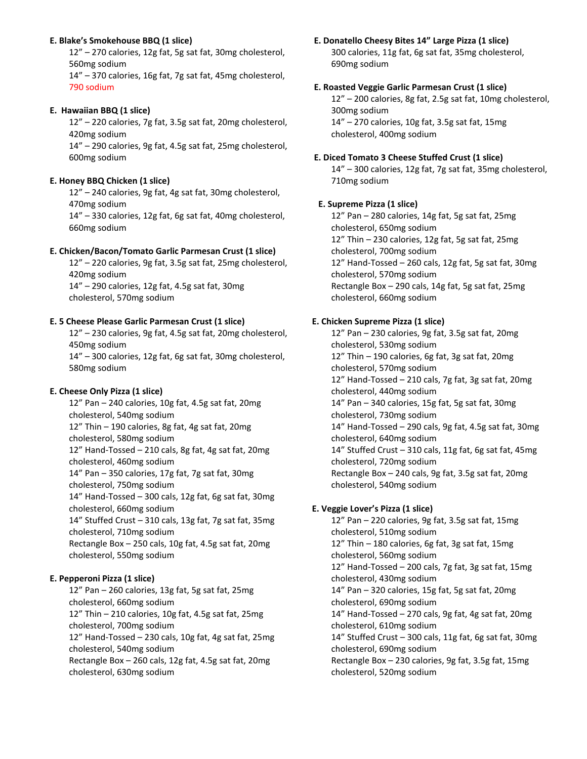### **E. Blake's Smokehouse BBQ (1 slice)**

12" – 270 calories, 12g fat, 5g sat fat, 30mg cholesterol, 560mg sodium

14" – 370 calories, 16g fat, 7g sat fat, 45mg cholesterol, 790 sodium

## **E. Hawaiian BBQ (1 slice)**

12" – 220 calories, 7g fat, 3.5g sat fat, 20mg cholesterol, 420mg sodium

14" – 290 calories, 9g fat, 4.5g sat fat, 25mg cholesterol, 600mg sodium

## **E. Honey BBQ Chicken (1 slice)**

12" – 240 calories, 9g fat, 4g sat fat, 30mg cholesterol, 470mg sodium

14" – 330 calories, 12g fat, 6g sat fat, 40mg cholesterol, 660mg sodium

### **E. Chicken/Bacon/Tomato Garlic Parmesan Crust (1 slice)**

12" – 220 calories, 9g fat, 3.5g sat fat, 25mg cholesterol, 420mg sodium 14" – 290 calories, 12g fat, 4.5g sat fat, 30mg

cholesterol, 570mg sodium

## **E. 5 Cheese Please Garlic Parmesan Crust (1 slice)**

12" – 230 calories, 9g fat, 4.5g sat fat, 20mg cholesterol, 450mg sodium

14" – 300 calories, 12g fat, 6g sat fat, 30mg cholesterol, 580mg sodium

### **E. Cheese Only Pizza (1 slice)**

12" Pan – 240 calories, 10g fat, 4.5g sat fat, 20mg cholesterol, 540mg sodium 12" Thin – 190 calories, 8g fat, 4g sat fat, 20mg cholesterol, 580mg sodium 12" Hand-Tossed – 210 cals, 8g fat, 4g sat fat, 20mg cholesterol, 460mg sodium 14" Pan – 350 calories, 17g fat, 7g sat fat, 30mg cholesterol, 750mg sodium 14" Hand-Tossed – 300 cals, 12g fat, 6g sat fat, 30mg cholesterol, 660mg sodium 14" Stuffed Crust – 310 cals, 13g fat, 7g sat fat, 35mg cholesterol, 710mg sodium Rectangle Box – 250 cals, 10g fat, 4.5g sat fat, 20mg cholesterol, 550mg sodium

### **E. Pepperoni Pizza (1 slice)**

12" Pan – 260 calories, 13g fat, 5g sat fat, 25mg cholesterol, 660mg sodium 12" Thin – 210 calories, 10g fat, 4.5g sat fat, 25mg cholesterol, 700mg sodium 12" Hand-Tossed – 230 cals, 10g fat, 4g sat fat, 25mg cholesterol, 540mg sodium Rectangle Box – 260 cals, 12g fat, 4.5g sat fat, 20mg cholesterol, 630mg sodium

**E. Donatello Cheesy Bites 14" Large Pizza (1 slice)** 300 calories, 11g fat, 6g sat fat, 35mg cholesterol, 690mg sodium

#### **E. Roasted Veggie Garlic Parmesan Crust (1 slice)**

12" – 200 calories, 8g fat, 2.5g sat fat, 10mg cholesterol, 300mg sodium 14" – 270 calories, 10g fat, 3.5g sat fat, 15mg cholesterol, 400mg sodium

#### **E. Diced Tomato 3 Cheese Stuffed Crust (1 slice)**

14" – 300 calories, 12g fat, 7g sat fat, 35mg cholesterol, 710mg sodium

### **E. Supreme Pizza (1 slice)**

12" Pan – 280 calories, 14g fat, 5g sat fat, 25mg cholesterol, 650mg sodium 12" Thin – 230 calories, 12g fat, 5g sat fat, 25mg cholesterol, 700mg sodium 12" Hand-Tossed – 260 cals, 12g fat, 5g sat fat, 30mg cholesterol, 570mg sodium Rectangle Box – 290 cals, 14g fat, 5g sat fat, 25mg cholesterol, 660mg sodium

## **E. Chicken Supreme Pizza (1 slice)**

12" Pan – 230 calories, 9g fat, 3.5g sat fat, 20mg cholesterol, 530mg sodium 12" Thin – 190 calories, 6g fat, 3g sat fat, 20mg cholesterol, 570mg sodium 12" Hand-Tossed – 210 cals, 7g fat, 3g sat fat, 20mg cholesterol, 440mg sodium 14" Pan – 340 calories, 15g fat, 5g sat fat, 30mg cholesterol, 730mg sodium 14" Hand-Tossed – 290 cals, 9g fat, 4.5g sat fat, 30mg cholesterol, 640mg sodium 14" Stuffed Crust – 310 cals, 11g fat, 6g sat fat, 45mg cholesterol, 720mg sodium Rectangle Box – 240 cals, 9g fat, 3.5g sat fat, 20mg cholesterol, 540mg sodium

### **E. Veggie Lover's Pizza (1 slice)**

12" Pan – 220 calories, 9g fat, 3.5g sat fat, 15mg cholesterol, 510mg sodium 12" Thin – 180 calories, 6g fat, 3g sat fat, 15mg cholesterol, 560mg sodium 12" Hand-Tossed – 200 cals, 7g fat, 3g sat fat, 15mg cholesterol, 430mg sodium 14" Pan – 320 calories, 15g fat, 5g sat fat, 20mg cholesterol, 690mg sodium 14" Hand-Tossed – 270 cals, 9g fat, 4g sat fat, 20mg cholesterol, 610mg sodium 14" Stuffed Crust – 300 cals, 11g fat, 6g sat fat, 30mg cholesterol, 690mg sodium Rectangle Box – 230 calories, 9g fat, 3.5g fat, 15mg

cholesterol, 520mg sodium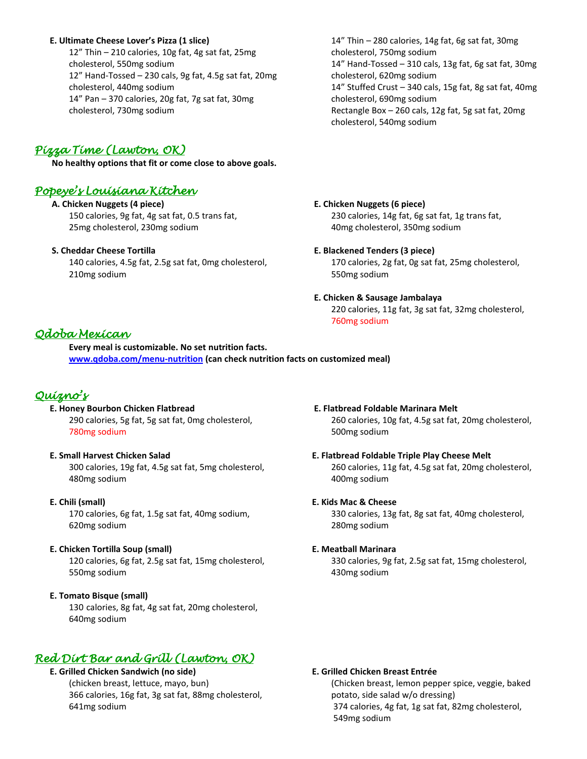#### **E. Ultimate Cheese Lover's Pizza (1 slice)**

12" Thin – 210 calories, 10g fat, 4g sat fat, 25mg cholesterol, 550mg sodium 12" Hand-Tossed – 230 cals, 9g fat, 4.5g sat fat, 20mg cholesterol, 440mg sodium 14" Pan – 370 calories, 20g fat, 7g sat fat, 30mg cholesterol, 730mg sodium

## *Pizza Time (Lawton, OK)*

**No healthy options that fit or come close to above goals.**

## *Popeye's Louisiana Kitchen*

**A. Chicken Nuggets (4 piece)** 150 calories, 9g fat, 4g sat fat, 0.5 trans fat, 25mg cholesterol, 230mg sodium

#### **S. Cheddar Cheese Tortilla**

140 calories, 4.5g fat, 2.5g sat fat, 0mg cholesterol, 210mg sodium

## 14" Thin – 280 calories, 14g fat, 6g sat fat, 30mg cholesterol, 750mg sodium 14" Hand-Tossed – 310 cals, 13g fat, 6g sat fat, 30mg cholesterol, 620mg sodium 14" Stuffed Crust – 340 cals, 15g fat, 8g sat fat, 40mg cholesterol, 690mg sodium Rectangle Box – 260 cals, 12g fat, 5g sat fat, 20mg cholesterol, 540mg sodium

#### **E. Chicken Nuggets (6 piece)**

230 calories, 14g fat, 6g sat fat, 1g trans fat, 40mg cholesterol, 350mg sodium

#### **E. Blackened Tenders (3 piece)**

170 calories, 2g fat, 0g sat fat, 25mg cholesterol, 550mg sodium

#### **E. Chicken & Sausage Jambalaya**

220 calories, 11g fat, 3g sat fat, 32mg cholesterol, 760mg sodium

## *Qdoba Mexican*

**Every meal is customizable. No set nutrition facts. [www.qdoba.com/menu-nutrition](http://www.qdoba.com/menu-nutrition) (can check nutrition facts on customized meal)**

## *Quizno's*

 **E. Honey Bourbon Chicken Flatbread**

290 calories, 5g fat, 5g sat fat, 0mg cholesterol, 780mg sodium

#### **E. Small Harvest Chicken Salad**

300 calories, 19g fat, 4.5g sat fat, 5mg cholesterol, 480mg sodium

#### **E. Chili (small)**

170 calories, 6g fat, 1.5g sat fat, 40mg sodium, 620mg sodium

#### **E. Chicken Tortilla Soup (small)**

120 calories, 6g fat, 2.5g sat fat, 15mg cholesterol, 550mg sodium

#### **E. Tomato Bisque (small)**

130 calories, 8g fat, 4g sat fat, 20mg cholesterol, 640mg sodium

## *Red Dirt Bar and Grill (Lawton, OK)*

#### **E. Grilled Chicken Sandwich (no side)**

(chicken breast, lettuce, mayo, bun) 366 calories, 16g fat, 3g sat fat, 88mg cholesterol, 641mg sodium

#### **E. Flatbread Foldable Marinara Melt** 260 calories, 10g fat, 4.5g sat fat, 20mg cholesterol, 500mg sodium

#### **E. Flatbread Foldable Triple Play Cheese Melt** 260 calories, 11g fat, 4.5g sat fat, 20mg cholesterol, 400mg sodium

#### **E. Kids Mac & Cheese**

330 calories, 13g fat, 8g sat fat, 40mg cholesterol, 280mg sodium

#### **E. Meatball Marinara**

330 calories, 9g fat, 2.5g sat fat, 15mg cholesterol, 430mg sodium

#### **E. Grilled Chicken Breast Entrée**

(Chicken breast, lemon pepper spice, veggie, baked potato, side salad w/o dressing) 374 calories, 4g fat, 1g sat fat, 82mg cholesterol, 549mg sodium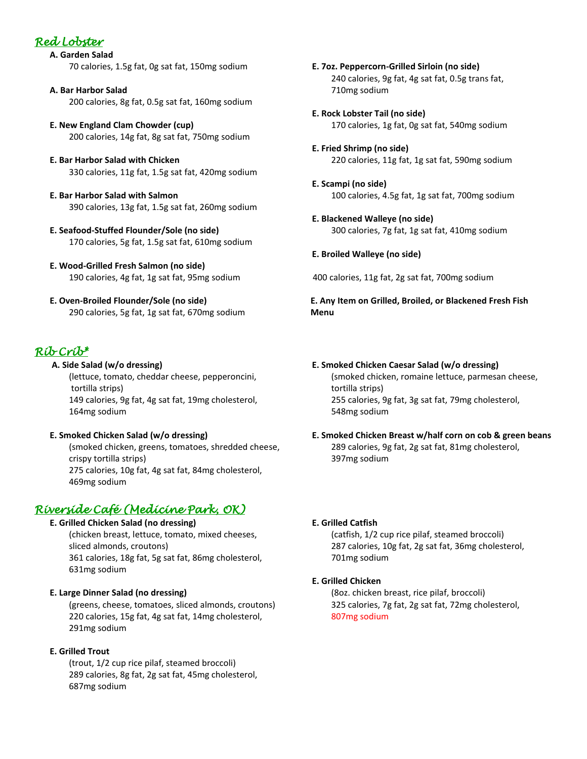## *Red Lobster*

 **A. Garden Salad** 70 calories, 1.5g fat, 0g sat fat, 150mg sodium

- **A. Bar Harbor Salad** 200 calories, 8g fat, 0.5g sat fat, 160mg sodium
- **E. New England Clam Chowder (cup)** 200 calories, 14g fat, 8g sat fat, 750mg sodium
- **E. Bar Harbor Salad with Chicken** 330 calories, 11g fat, 1.5g sat fat, 420mg sodium
- **E. Bar Harbor Salad with Salmon** 390 calories, 13g fat, 1.5g sat fat, 260mg sodium
- **E. Seafood-Stuffed Flounder/Sole (no side)** 170 calories, 5g fat, 1.5g sat fat, 610mg sodium
- **E. Wood-Grilled Fresh Salmon (no side)** 190 calories, 4g fat, 1g sat fat, 95mg sodium
- **E. Oven-Broiled Flounder/Sole (no side)** 290 calories, 5g fat, 1g sat fat, 670mg sodium

## *Rib Crib\**

### **A. Side Salad (w/o dressing)** (lettuce, tomato, cheddar cheese, pepperoncini, tortilla strips) 149 calories, 9g fat, 4g sat fat, 19mg cholesterol, 164mg sodium

## **E. Smoked Chicken Salad (w/o dressing)**

(smoked chicken, greens, tomatoes, shredded cheese, crispy tortilla strips) 275 calories, 10g fat, 4g sat fat, 84mg cholesterol, 469mg sodium

## *Riverside Café (Medicine Park, OK)*

## **E. Grilled Chicken Salad (no dressing)**

(chicken breast, lettuce, tomato, mixed cheeses, sliced almonds, croutons) 361 calories, 18g fat, 5g sat fat, 86mg cholesterol, 631mg sodium

## **E. Large Dinner Salad (no dressing)**

(greens, cheese, tomatoes, sliced almonds, croutons) 220 calories, 15g fat, 4g sat fat, 14mg cholesterol, 291mg sodium

## **E. Grilled Trout**

(trout, 1/2 cup rice pilaf, steamed broccoli) 289 calories, 8g fat, 2g sat fat, 45mg cholesterol, 687mg sodium

- **E. 7oz. Peppercorn-Grilled Sirloin (no side)** 240 calories, 9g fat, 4g sat fat, 0.5g trans fat, 710mg sodium
- **E. Rock Lobster Tail (no side)** 170 calories, 1g fat, 0g sat fat, 540mg sodium
- **E. Fried Shrimp (no side)** 220 calories, 11g fat, 1g sat fat, 590mg sodium
- **E. Scampi (no side)** 100 calories, 4.5g fat, 1g sat fat, 700mg sodium
- **E. Blackened Walleye (no side)** 300 calories, 7g fat, 1g sat fat, 410mg sodium

## **E. Broiled Walleye (no side)**

400 calories, 11g fat, 2g sat fat, 700mg sodium

**E. Any Item on Grilled, Broiled, or Blackened Fresh Fish Menu**

### **E. Smoked Chicken Caesar Salad (w/o dressing)**

(smoked chicken, romaine lettuce, parmesan cheese, tortilla strips) 255 calories, 9g fat, 3g sat fat, 79mg cholesterol, 548mg sodium

## **E. Smoked Chicken Breast w/half corn on cob & green beans** 289 calories, 9g fat, 2g sat fat, 81mg cholesterol, 397mg sodium

## **E. Grilled Catfish**

(catfish, 1/2 cup rice pilaf, steamed broccoli) 287 calories, 10g fat, 2g sat fat, 36mg cholesterol, 701mg sodium

### **E. Grilled Chicken**

(8oz. chicken breast, rice pilaf, broccoli) 325 calories, 7g fat, 2g sat fat, 72mg cholesterol, 807mg sodium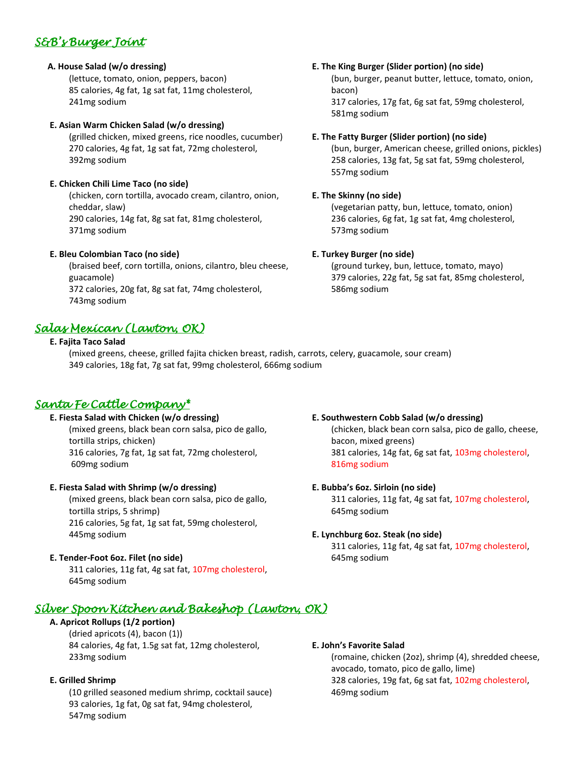# *S&B's Burger Joint*

## **A. House Salad (w/o dressing)**

(lettuce, tomato, onion, peppers, bacon) 85 calories, 4g fat, 1g sat fat, 11mg cholesterol, 241mg sodium

## **E. Asian Warm Chicken Salad (w/o dressing)**

(grilled chicken, mixed greens, rice noodles, cucumber) 270 calories, 4g fat, 1g sat fat, 72mg cholesterol, 392mg sodium

## **E. Chicken Chili Lime Taco (no side)**

(chicken, corn tortilla, avocado cream, cilantro, onion, cheddar, slaw) 290 calories, 14g fat, 8g sat fat, 81mg cholesterol,

371mg sodium

## **E. Bleu Colombian Taco (no side)**

(braised beef, corn tortilla, onions, cilantro, bleu cheese, guacamole) 372 calories, 20g fat, 8g sat fat, 74mg cholesterol, 743mg sodium

## *Salas Mexican (Lawton, OK)*

## **E. Fajita Taco Salad**

(mixed greens, cheese, grilled fajita chicken breast, radish, carrots, celery, guacamole, sour cream) 349 calories, 18g fat, 7g sat fat, 99mg cholesterol, 666mg sodium

## *Santa Fe Cattle Company\**

## **E. Fiesta Salad with Chicken (w/o dressing)**

(mixed greens, black bean corn salsa, pico de gallo, tortilla strips, chicken) 316 calories, 7g fat, 1g sat fat, 72mg cholesterol, 609mg sodium

## **E. Fiesta Salad with Shrimp (w/o dressing)**

(mixed greens, black bean corn salsa, pico de gallo, tortilla strips, 5 shrimp) 216 calories, 5g fat, 1g sat fat, 59mg cholesterol, 445mg sodium

## **E. Tender-Foot 6oz. Filet (no side)**

311 calories, 11g fat, 4g sat fat, 107mg cholesterol, 645mg sodium

# *Silver Spoon Kitchen and Bakeshop (Lawton, OK)*

## **A. Apricot Rollups (1/2 portion)**

(dried apricots (4), bacon (1)) 84 calories, 4g fat, 1.5g sat fat, 12mg cholesterol, 233mg sodium

## **E. Grilled Shrimp**

(10 grilled seasoned medium shrimp, cocktail sauce) 93 calories, 1g fat, 0g sat fat, 94mg cholesterol, 547mg sodium

## **E. The King Burger (Slider portion) (no side)**

(bun, burger, peanut butter, lettuce, tomato, onion, bacon) 317 calories, 17g fat, 6g sat fat, 59mg cholesterol,

## **E. The Fatty Burger (Slider portion) (no side)**

(bun, burger, American cheese, grilled onions, pickles) 258 calories, 13g fat, 5g sat fat, 59mg cholesterol, 557mg sodium

## **E. The Skinny (no side)**

581mg sodium

(vegetarian patty, bun, lettuce, tomato, onion) 236 calories, 6g fat, 1g sat fat, 4mg cholesterol, 573mg sodium

## **E. Turkey Burger (no side)**

(ground turkey, bun, lettuce, tomato, mayo) 379 calories, 22g fat, 5g sat fat, 85mg cholesterol, 586mg sodium

## **E. Southwestern Cobb Salad (w/o dressing)**

(chicken, black bean corn salsa, pico de gallo, cheese, bacon, mixed greens) 381 calories, 14g fat, 6g sat fat, 103mg cholesterol, 816mg sodium

## **E. Bubba's 6oz. Sirloin (no side)**

311 calories, 11g fat, 4g sat fat, 107mg cholesterol, 645mg sodium

## **E. Lynchburg 6oz. Steak (no side)**

311 calories, 11g fat, 4g sat fat, 107mg cholesterol, 645mg sodium

## **E. John's Favorite Salad**

(romaine, chicken (2oz), shrimp (4), shredded cheese, avocado, tomato, pico de gallo, lime) 328 calories, 19g fat, 6g sat fat, 102mg cholesterol, 469mg sodium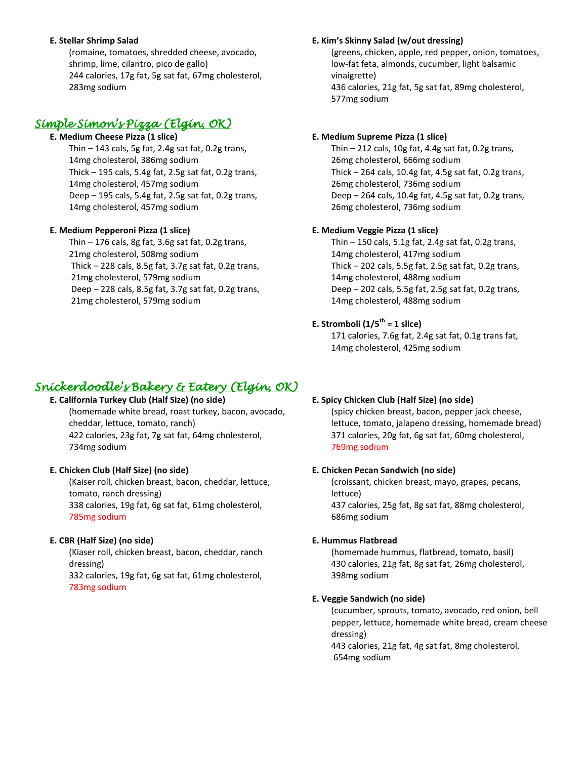#### **E. Stellar Shrimp Salad**

(romaine, tomatoes, shredded cheese, avocado, shrimp, lime, cilantro, pico de gallo) 244 calories, 17g fat, 5g sat fat, 67mg cholesterol, 283mg sodium

## *Simple Simon's Pizza (Elgin, OK)*

#### **E. Medium Cheese Pizza (1 slice)**

Thin  $-143$  cals, 5g fat, 2.4g sat fat, 0.2g trans, 14mg cholesterol, 386mg sodium Thick – 195 cals, 5.4g fat, 2.5g sat fat, 0.2g trans, 14mg cholesterol, 457mg sodium Deep – 195 cals, 5.4g fat, 2.5g sat fat, 0.2g trans, 14mg cholesterol, 457mg sodium

### **E. Medium Pepperoni Pizza (1 slice)**

Thin  $-176$  cals, 8g fat, 3.6g sat fat, 0.2g trans, 21mg cholesterol, 508mg sodium Thick – 228 cals, 8.5g fat, 3.7g sat fat, 0.2g trans, 21mg cholesterol, 579mg sodium Deep – 228 cals, 8.5g fat, 3.7g sat fat, 0.2g trans, 21mg cholesterol, 579mg sodium

#### **E. Kim's Skinny Salad (w/out dressing)**

(greens, chicken, apple, red pepper, onion, tomatoes, low-fat feta, almonds, cucumber, light balsamic vinaigrette) 436 calories, 21g fat, 5g sat fat, 89mg cholesterol, 577mg sodium

### **E. Medium Supreme Pizza (1 slice)**

Thin – 212 cals, 10g fat, 4.4g sat fat, 0.2g trans, 26mg cholesterol, 666mg sodium Thick – 264 cals, 10.4g fat, 4.5g sat fat, 0.2g trans, 26mg cholesterol, 736mg sodium Deep – 264 cals, 10.4g fat, 4.5g sat fat, 0.2g trans, 26mg cholesterol, 736mg sodium

### **E. Medium Veggie Pizza (1 slice)**

Thin – 150 cals, 5.1g fat, 2.4g sat fat, 0.2g trans, 14mg cholesterol, 417mg sodium Thick – 202 cals, 5.5g fat, 2.5g sat fat, 0.2g trans, 14mg cholesterol, 488mg sodium Deep – 202 cals, 5.5g fat, 2.5g sat fat, 0.2g trans, 14mg cholesterol, 488mg sodium

## **E. Stromboli (1/5th = 1 slice)**

171 calories, 7.6g fat, 2.4g sat fat, 0.1g trans fat, 14mg cholesterol, 425mg sodium

## *Snickerdoodle's Bakery & Eatery (Elgin, OK)*

## **E. California Turkey Club (Half Size) (no side)**

(homemade white bread, roast turkey, bacon, avocado, cheddar, lettuce, tomato, ranch) 422 calories, 23g fat, 7g sat fat, 64mg cholesterol, 734mg sodium

### **E. Chicken Club (Half Size) (no side)**

(Kaiser roll, chicken breast, bacon, cheddar, lettuce, tomato, ranch dressing) 338 calories, 19g fat, 6g sat fat, 61mg cholesterol, 785mg sodium

### **E. CBR (Half Size) (no side)**

(Kiaser roll, chicken breast, bacon, cheddar, ranch dressing) 332 calories, 19g fat, 6g sat fat, 61mg cholesterol, 783mg sodium

## **E. Spicy Chicken Club (Half Size) (no side)**

(spicy chicken breast, bacon, pepper jack cheese, lettuce, tomato, jalapeno dressing, homemade bread) 371 calories, 20g fat, 6g sat fat, 60mg cholesterol, 769mg sodium

#### **E. Chicken Pecan Sandwich (no side)**

(croissant, chicken breast, mayo, grapes, pecans, lettuce) 437 calories, 25g fat, 8g sat fat, 88mg cholesterol, 686mg sodium

### **E. Hummus Flatbread**

(homemade hummus, flatbread, tomato, basil) 430 calories, 21g fat, 8g sat fat, 26mg cholesterol, 398mg sodium

#### **E. Veggie Sandwich (no side)**

(cucumber, sprouts, tomato, avocado, red onion, bell pepper, lettuce, homemade white bread, cream cheese dressing)

443 calories, 21g fat, 4g sat fat, 8mg cholesterol, 654mg sodium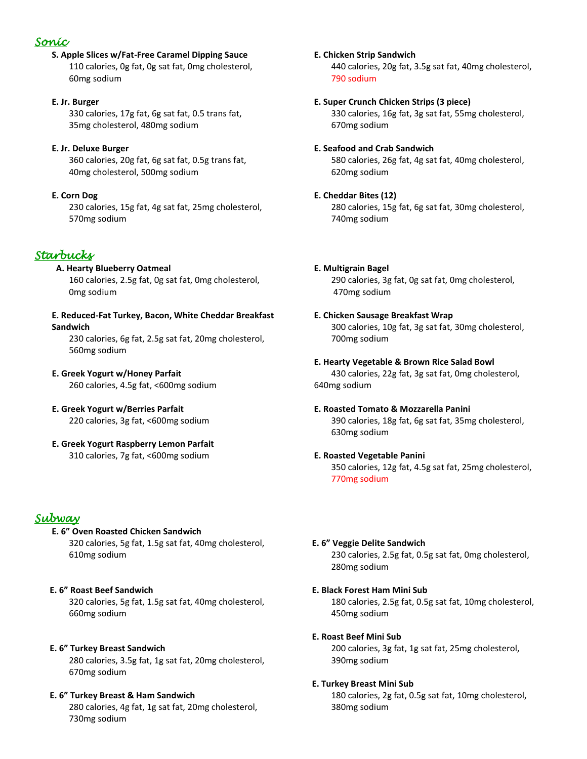## *Sonic*

**S. Apple Slices w/Fat-Free Caramel Dipping Sauce** 110 calories, 0g fat, 0g sat fat, 0mg cholesterol, 60mg sodium

## **E. Jr. Burger**

330 calories, 17g fat, 6g sat fat, 0.5 trans fat, 35mg cholesterol, 480mg sodium

## **E. Jr. Deluxe Burger**

360 calories, 20g fat, 6g sat fat, 0.5g trans fat, 40mg cholesterol, 500mg sodium

## **E. Corn Dog**

230 calories, 15g fat, 4g sat fat, 25mg cholesterol, 570mg sodium

## *Starbucks*

## **A. Hearty Blueberry Oatmeal**

160 calories, 2.5g fat, 0g sat fat, 0mg cholesterol, 0mg sodium

#### **E. Reduced-Fat Turkey, Bacon, White Cheddar Breakfast Sandwich**

230 calories, 6g fat, 2.5g sat fat, 20mg cholesterol, 560mg sodium

## **E. Greek Yogurt w/Honey Parfait**

260 calories, 4.5g fat, <600mg sodium

- **E. Greek Yogurt w/Berries Parfait** 220 calories, 3g fat, <600mg sodium
- **E. Greek Yogurt Raspberry Lemon Parfait** 310 calories, 7g fat, <600mg sodium

## *Subway*

## **E. 6" Oven Roasted Chicken Sandwich** 320 calories, 5g fat, 1.5g sat fat, 40mg cholesterol, 610mg sodium

## **E. 6" Roast Beef Sandwich** 320 calories, 5g fat, 1.5g sat fat, 40mg cholesterol, 660mg sodium

## **E. 6" Turkey Breast Sandwich** 280 calories, 3.5g fat, 1g sat fat, 20mg cholesterol, 670mg sodium

## **E. 6" Turkey Breast & Ham Sandwich** 280 calories, 4g fat, 1g sat fat, 20mg cholesterol, 730mg sodium

**E. Chicken Strip Sandwich**

440 calories, 20g fat, 3.5g sat fat, 40mg cholesterol, 790 sodium

## **E. Super Crunch Chicken Strips (3 piece)**

330 calories, 16g fat, 3g sat fat, 55mg cholesterol, 670mg sodium

## **E. Seafood and Crab Sandwich**

580 calories, 26g fat, 4g sat fat, 40mg cholesterol, 620mg sodium

## **E. Cheddar Bites (12)**

280 calories, 15g fat, 6g sat fat, 30mg cholesterol, 740mg sodium

## **E. Multigrain Bagel**

290 calories, 3g fat, 0g sat fat, 0mg cholesterol, 470mg sodium

## **E. Chicken Sausage Breakfast Wrap** 300 calories, 10g fat, 3g sat fat, 30mg cholesterol,

700mg sodium

### **E. Hearty Vegetable & Brown Rice Salad Bowl** 430 calories, 22g fat, 3g sat fat, 0mg cholesterol, 640mg sodium

## **E. Roasted Tomato & Mozzarella Panini** 390 calories, 18g fat, 6g sat fat, 35mg cholesterol, 630mg sodium

## **E. Roasted Vegetable Panini**

350 calories, 12g fat, 4.5g sat fat, 25mg cholesterol, 770mg sodium

## **E. 6" Veggie Delite Sandwich**

230 calories, 2.5g fat, 0.5g sat fat, 0mg cholesterol, 280mg sodium

## **E. Black Forest Ham Mini Sub**

180 calories, 2.5g fat, 0.5g sat fat, 10mg cholesterol, 450mg sodium

## **E. Roast Beef Mini Sub**

200 calories, 3g fat, 1g sat fat, 25mg cholesterol, 390mg sodium

## **E. Turkey Breast Mini Sub**

180 calories, 2g fat, 0.5g sat fat, 10mg cholesterol, 380mg sodium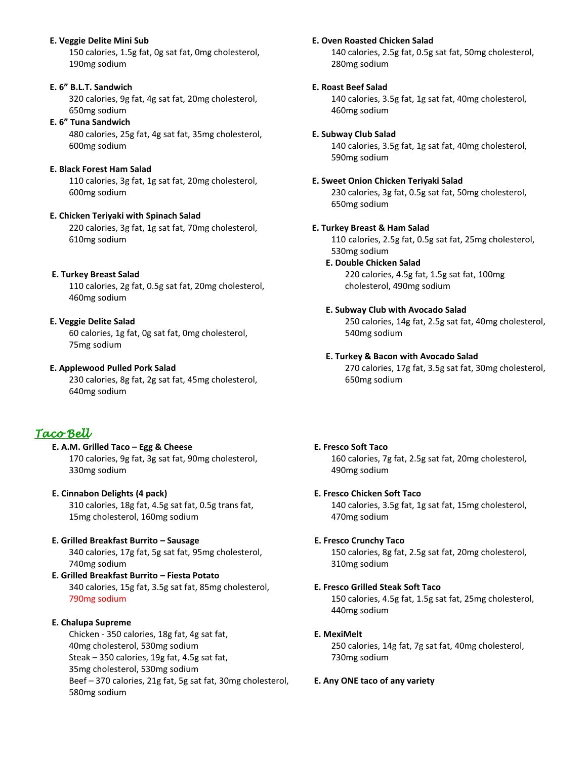### **E. Veggie Delite Mini Sub**

150 calories, 1.5g fat, 0g sat fat, 0mg cholesterol, 190mg sodium

#### **E. 6" B.L.T. Sandwich**

320 calories, 9g fat, 4g sat fat, 20mg cholesterol, 650mg sodium

#### **E. 6" Tuna Sandwich**

480 calories, 25g fat, 4g sat fat, 35mg cholesterol, 600mg sodium

#### **E. Black Forest Ham Salad**

110 calories, 3g fat, 1g sat fat, 20mg cholesterol, 600mg sodium

### **E. Chicken Teriyaki with Spinach Salad**

220 calories, 3g fat, 1g sat fat, 70mg cholesterol, 610mg sodium

#### **E. Turkey Breast Salad**

110 calories, 2g fat, 0.5g sat fat, 20mg cholesterol, 460mg sodium

### **E. Veggie Delite Salad**

60 calories, 1g fat, 0g sat fat, 0mg cholesterol, 75mg sodium

#### **E. Applewood Pulled Pork Salad**

230 calories, 8g fat, 2g sat fat, 45mg cholesterol, 640mg sodium

## *Taco Bell*

#### **E. A.M. Grilled Taco – Egg & Cheese** 170 calories, 9g fat, 3g sat fat, 90mg cholesterol, 330mg sodium

## **E. Cinnabon Delights (4 pack)** 310 calories, 18g fat, 4.5g sat fat, 0.5g trans fat, 15mg cholesterol, 160mg sodium

## **E. Grilled Breakfast Burrito – Sausage** 340 calories, 17g fat, 5g sat fat, 95mg cholesterol, 740mg sodium

**E. Grilled Breakfast Burrito – Fiesta Potato** 340 calories, 15g fat, 3.5g sat fat, 85mg cholesterol, 790mg sodium

### **E. Chalupa Supreme**

Chicken - 350 calories, 18g fat, 4g sat fat, 40mg cholesterol, 530mg sodium Steak – 350 calories, 19g fat, 4.5g sat fat, 35mg cholesterol, 530mg sodium Beef – 370 calories, 21g fat, 5g sat fat, 30mg cholesterol, 580mg sodium

#### **E. Oven Roasted Chicken Salad**

140 calories, 2.5g fat, 0.5g sat fat, 50mg cholesterol, 280mg sodium

#### **E. Roast Beef Salad**

140 calories, 3.5g fat, 1g sat fat, 40mg cholesterol, 460mg sodium

#### **E. Subway Club Salad**

140 calories, 3.5g fat, 1g sat fat, 40mg cholesterol, 590mg sodium

#### **E. Sweet Onion Chicken Teriyaki Salad**

230 calories, 3g fat, 0.5g sat fat, 50mg cholesterol, 650mg sodium

#### **E. Turkey Breast & Ham Salad**

110 calories, 2.5g fat, 0.5g sat fat, 25mg cholesterol, 530mg sodium

#### **E. Double Chicken Salad** 220 calories, 4.5g fat, 1.5g sat fat, 100mg

cholesterol, 490mg sodium

#### **E. Subway Club with Avocado Salad**

250 calories, 14g fat, 2.5g sat fat, 40mg cholesterol, 540mg sodium

### **E. Turkey & Bacon with Avocado Salad**

270 calories, 17g fat, 3.5g sat fat, 30mg cholesterol, 650mg sodium

## **E. Fresco Soft Taco**

160 calories, 7g fat, 2.5g sat fat, 20mg cholesterol, 490mg sodium

### **E. Fresco Chicken Soft Taco**

140 calories, 3.5g fat, 1g sat fat, 15mg cholesterol, 470mg sodium

### **E. Fresco Crunchy Taco**

150 calories, 8g fat, 2.5g sat fat, 20mg cholesterol, 310mg sodium

#### **E. Fresco Grilled Steak Soft Taco**

150 calories, 4.5g fat, 1.5g sat fat, 25mg cholesterol, 440mg sodium

### **E. MexiMelt**

250 calories, 14g fat, 7g sat fat, 40mg cholesterol, 730mg sodium

### **E. Any ONE taco of any variety**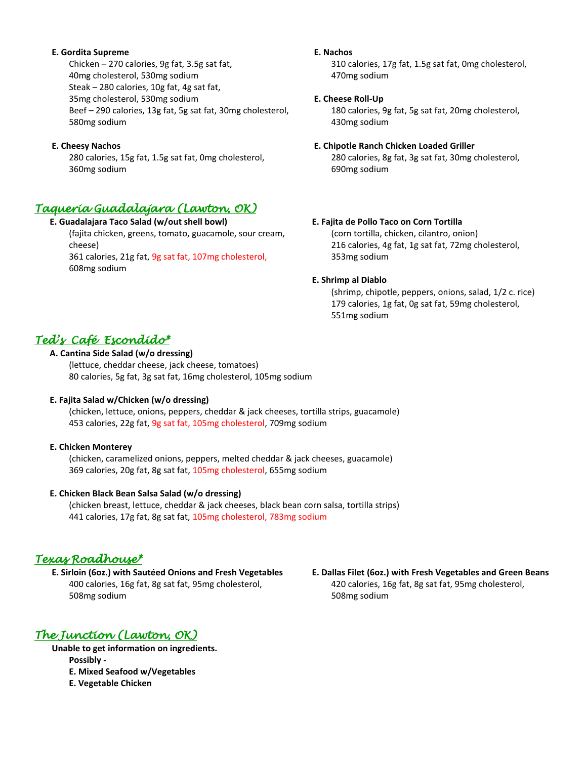#### **E. Gordita Supreme**

Chicken – 270 calories, 9g fat, 3.5g sat fat, 40mg cholesterol, 530mg sodium Steak – 280 calories, 10g fat, 4g sat fat, 35mg cholesterol, 530mg sodium Beef – 290 calories, 13g fat, 5g sat fat, 30mg cholesterol, 580mg sodium

#### **E. Cheesy Nachos**

280 calories, 15g fat, 1.5g sat fat, 0mg cholesterol, 360mg sodium

## *Taqueria Guadalajara (Lawton, OK)*

### **E. Guadalajara Taco Salad (w/out shell bowl)**

(fajita chicken, greens, tomato, guacamole, sour cream, cheese)

361 calories, 21g fat, 9g sat fat, 107mg cholesterol, 608mg sodium

#### **E. Nachos**

310 calories, 17g fat, 1.5g sat fat, 0mg cholesterol, 470mg sodium

#### **E. Cheese Roll-Up**

180 calories, 9g fat, 5g sat fat, 20mg cholesterol, 430mg sodium

#### **E. Chipotle Ranch Chicken Loaded Griller**

280 calories, 8g fat, 3g sat fat, 30mg cholesterol, 690mg sodium

### **E. Fajita de Pollo Taco on Corn Tortilla**

(corn tortilla, chicken, cilantro, onion) 216 calories, 4g fat, 1g sat fat, 72mg cholesterol, 353mg sodium

### **E. Shrimp al Diablo**

(shrimp, chipotle, peppers, onions, salad, 1/2 c. rice) 179 calories, 1g fat, 0g sat fat, 59mg cholesterol, 551mg sodium

## *Ted's Café Escondido\**

## **A. Cantina Side Salad (w/o dressing)**

(lettuce, cheddar cheese, jack cheese, tomatoes) 80 calories, 5g fat, 3g sat fat, 16mg cholesterol, 105mg sodium

### **E. Fajita Salad w/Chicken (w/o dressing)**

 (chicken, lettuce, onions, peppers, cheddar & jack cheeses, tortilla strips, guacamole) 453 calories, 22g fat, 9g sat fat, 105mg cholesterol, 709mg sodium

#### **E. Chicken Monterey**

 (chicken, caramelized onions, peppers, melted cheddar & jack cheeses, guacamole) 369 calories, 20g fat, 8g sat fat, 105mg cholesterol, 655mg sodium

### **E. Chicken Black Bean Salsa Salad (w/o dressing)**

 (chicken breast, lettuce, cheddar & jack cheeses, black bean corn salsa, tortilla strips) 441 calories, 17g fat, 8g sat fat, 105mg cholesterol, 783mg sodium

## *Texas Roadhouse\**

**E. Sirloin (6oz.) with Sautéed Onions and Fresh Vegetables** 400 calories, 16g fat, 8g sat fat, 95mg cholesterol, 508mg sodium

# *The Junction (Lawton, OK)*

**Unable to get information on ingredients.**

- **Possibly -**
- **E. Mixed Seafood w/Vegetables**
- **E. Vegetable Chicken**

 **E. Dallas Filet (6oz.) with Fresh Vegetables and Green Beans** 420 calories, 16g fat, 8g sat fat, 95mg cholesterol, 508mg sodium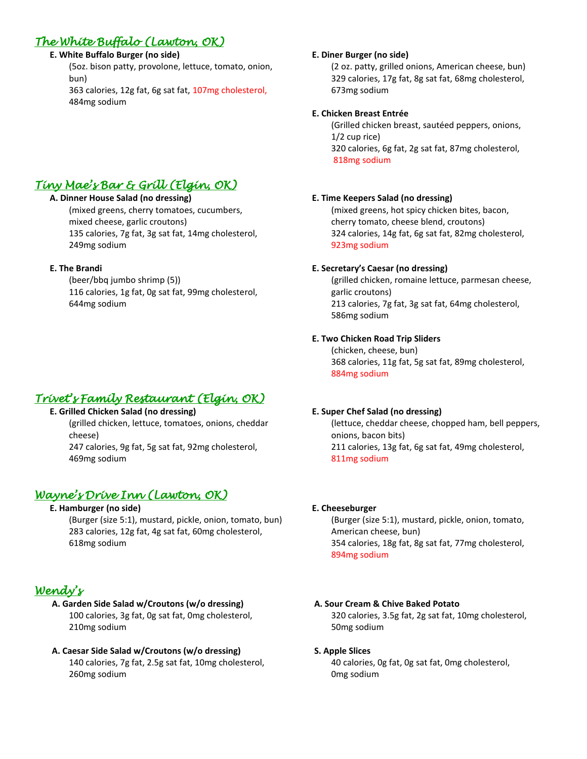## *The White Buffalo (Lawton, OK)*

## **E. White Buffalo Burger (no side)**

(5oz. bison patty, provolone, lettuce, tomato, onion, bun)

363 calories, 12g fat, 6g sat fat, 107mg cholesterol, 484mg sodium

# *Tiny Mae's Bar & Grill (Elgin, OK)*

## **A. Dinner House Salad (no dressing)**

(mixed greens, cherry tomatoes, cucumbers, mixed cheese, garlic croutons) 135 calories, 7g fat, 3g sat fat, 14mg cholesterol, 249mg sodium

## **E. The Brandi**

(beer/bbq jumbo shrimp (5)) 116 calories, 1g fat, 0g sat fat, 99mg cholesterol, 644mg sodium

## *Trivet's Family Restaurant (Elgin, OK)*

## **E. Grilled Chicken Salad (no dressing)**

(grilled chicken, lettuce, tomatoes, onions, cheddar cheese)

247 calories, 9g fat, 5g sat fat, 92mg cholesterol, 469mg sodium

## *Wayne's Drive Inn (Lawton, OK)*

## **E. Hamburger (no side)**

 (Burger (size 5:1), mustard, pickle, onion, tomato, bun) 283 calories, 12g fat, 4g sat fat, 60mg cholesterol, 618mg sodium

## *Wendy's*

#### **A. Garden Side Salad w/Croutons (w/o dressing)** 100 calories, 3g fat, 0g sat fat, 0mg cholesterol, 210mg sodium

## **A. Caesar Side Salad w/Croutons (w/o dressing)** 140 calories, 7g fat, 2.5g sat fat, 10mg cholesterol, 260mg sodium

## **E. Diner Burger (no side)**

(2 oz. patty, grilled onions, American cheese, bun) 329 calories, 17g fat, 8g sat fat, 68mg cholesterol, 673mg sodium

## **E. Chicken Breast Entrée**

(Grilled chicken breast, sautéed peppers, onions, 1/2 cup rice) 320 calories, 6g fat, 2g sat fat, 87mg cholesterol, 818mg sodium

## **E. Time Keepers Salad (no dressing)**

(mixed greens, hot spicy chicken bites, bacon, cherry tomato, cheese blend, croutons) 324 calories, 14g fat, 6g sat fat, 82mg cholesterol, 923mg sodium

## **E. Secretary's Caesar (no dressing)**

(grilled chicken, romaine lettuce, parmesan cheese, garlic croutons) 213 calories, 7g fat, 3g sat fat, 64mg cholesterol, 586mg sodium

## **E. Two Chicken Road Trip Sliders**

(chicken, cheese, bun) 368 calories, 11g fat, 5g sat fat, 89mg cholesterol, 884mg sodium

## **E. Super Chef Salad (no dressing)**

(lettuce, cheddar cheese, chopped ham, bell peppers, onions, bacon bits) 211 calories, 13g fat, 6g sat fat, 49mg cholesterol, 811mg sodium

## **E. Cheeseburger**

(Burger (size 5:1), mustard, pickle, onion, tomato, American cheese, bun) 354 calories, 18g fat, 8g sat fat, 77mg cholesterol, 894mg sodium

## **A. Sour Cream & Chive Baked Potato**

320 calories, 3.5g fat, 2g sat fat, 10mg cholesterol, 50mg sodium

### **S. Apple Slices**

40 calories, 0g fat, 0g sat fat, 0mg cholesterol, 0mg sodium